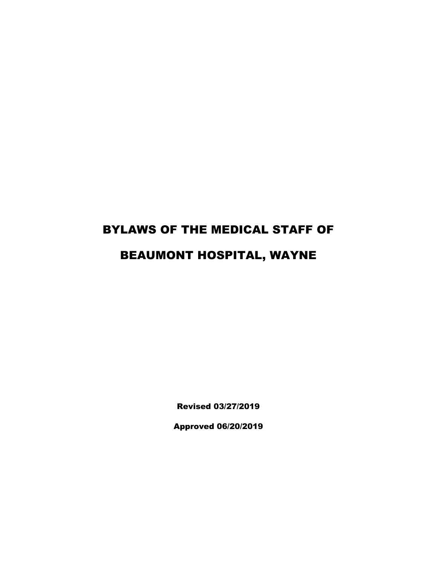# BYLAWS OF THE MEDICAL STAFF OF BEAUMONT HOSPITAL, WAYNE

Revised 03/27/2019

Approved 06/20/2019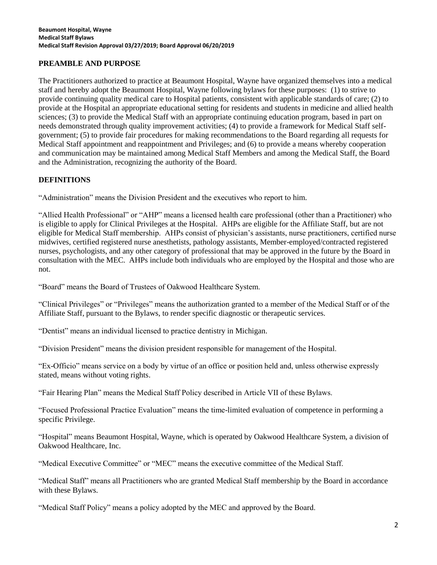# **PREAMBLE AND PURPOSE**

The Practitioners authorized to practice at Beaumont Hospital, Wayne have organized themselves into a medical staff and hereby adopt the Beaumont Hospital, Wayne following bylaws for these purposes: (1) to strive to provide continuing quality medical care to Hospital patients, consistent with applicable standards of care; (2) to provide at the Hospital an appropriate educational setting for residents and students in medicine and allied health sciences; (3) to provide the Medical Staff with an appropriate continuing education program, based in part on needs demonstrated through quality improvement activities; (4) to provide a framework for Medical Staff selfgovernment; (5) to provide fair procedures for making recommendations to the Board regarding all requests for Medical Staff appointment and reappointment and Privileges; and (6) to provide a means whereby cooperation and communication may be maintained among Medical Staff Members and among the Medical Staff, the Board and the Administration, recognizing the authority of the Board.

## **DEFINITIONS**

"Administration" means the Division President and the executives who report to him.

"Allied Health Professional" or "AHP" means a licensed health care professional (other than a Practitioner) who is eligible to apply for Clinical Privileges at the Hospital. AHPs are eligible for the Affiliate Staff, but are not eligible for Medical Staff membership. AHPs consist of physician's assistants, nurse practitioners, certified nurse midwives, certified registered nurse anesthetists, pathology assistants, Member-employed/contracted registered nurses, psychologists, and any other category of professional that may be approved in the future by the Board in consultation with the MEC. AHPs include both individuals who are employed by the Hospital and those who are not.

"Board" means the Board of Trustees of Oakwood Healthcare System.

"Clinical Privileges" or "Privileges" means the authorization granted to a member of the Medical Staff or of the Affiliate Staff, pursuant to the Bylaws, to render specific diagnostic or therapeutic services.

"Dentist" means an individual licensed to practice dentistry in Michigan.

"Division President" means the division president responsible for management of the Hospital.

"Ex-Officio" means service on a body by virtue of an office or position held and, unless otherwise expressly stated, means without voting rights.

"Fair Hearing Plan" means the Medical Staff Policy described in Article VII of these Bylaws.

"Focused Professional Practice Evaluation" means the time-limited evaluation of competence in performing a specific Privilege.

"Hospital" means Beaumont Hospital, Wayne, which is operated by Oakwood Healthcare System, a division of Oakwood Healthcare, Inc.

"Medical Executive Committee" or "MEC" means the executive committee of the Medical Staff.

"Medical Staff" means all Practitioners who are granted Medical Staff membership by the Board in accordance with these Bylaws.

"Medical Staff Policy" means a policy adopted by the MEC and approved by the Board.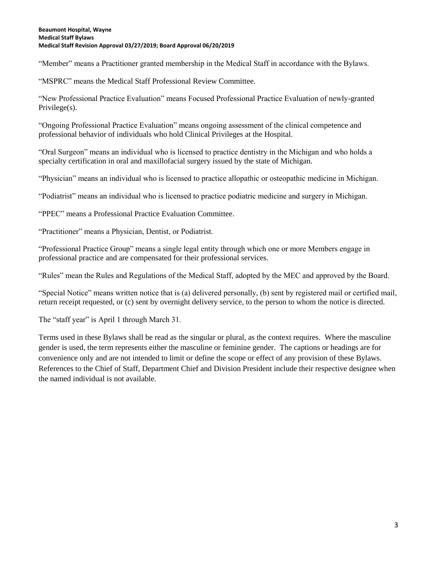"Member" means a Practitioner granted membership in the Medical Staff in accordance with the Bylaws.

"MSPRC" means the Medical Staff Professional Review Committee.

"New Professional Practice Evaluation" means Focused Professional Practice Evaluation of newly-granted Privilege(s).

"Ongoing Professional Practice Evaluation" means ongoing assessment of the clinical competence and professional behavior of individuals who hold Clinical Privileges at the Hospital.

"Oral Surgeon" means an individual who is licensed to practice dentistry in the Michigan and who holds a specialty certification in oral and maxillofacial surgery issued by the state of Michigan.

"Physician" means an individual who is licensed to practice allopathic or osteopathic medicine in Michigan.

"Podiatrist" means an individual who is licensed to practice podiatric medicine and surgery in Michigan.

"PPEC" means a Professional Practice Evaluation Committee.

"Practitioner" means a Physician, Dentist, or Podiatrist.

"Professional Practice Group" means a single legal entity through which one or more Members engage in professional practice and are compensated for their professional services.

"Rules" mean the Rules and Regulations of the Medical Staff, adopted by the MEC and approved by the Board.

"Special Notice" means written notice that is (a) delivered personally, (b) sent by registered mail or certified mail, return receipt requested, or (c) sent by overnight delivery service, to the person to whom the notice is directed.

The "staff year" is April 1 through March 31.

Terms used in these Bylaws shall be read as the singular or plural, as the context requires. Where the masculine gender is used, the term represents either the masculine or feminine gender. The captions or headings are for convenience only and are not intended to limit or define the scope or effect of any provision of these Bylaws. References to the Chief of Staff, Department Chief and Division President include their respective designee when the named individual is not available.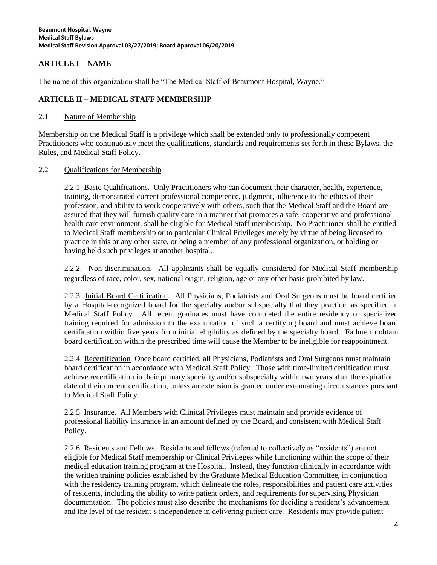## **ARTICLE I – NAME**

The name of this organization shall be "The Medical Staff of Beaumont Hospital, Wayne."

## **ARTICLE II – MEDICAL STAFF MEMBERSHIP**

#### 2.1 Nature of Membership

Membership on the Medical Staff is a privilege which shall be extended only to professionally competent Practitioners who continuously meet the qualifications, standards and requirements set forth in these Bylaws, the Rules, and Medical Staff Policy.

#### 2.2 Qualifications for Membership

2.2.1 Basic Qualifications. Only Practitioners who can document their character, health, experience, training, demonstrated current professional competence, judgment, adherence to the ethics of their profession, and ability to work cooperatively with others, such that the Medical Staff and the Board are assured that they will furnish quality care in a manner that promotes a safe, cooperative and professional health care environment, shall be eligible for Medical Staff membership. No Practitioner shall be entitled to Medical Staff membership or to particular Clinical Privileges merely by virtue of being licensed to practice in this or any other state, or being a member of any professional organization, or holding or having held such privileges at another hospital.

2.2.2. Non-discrimination. All applicants shall be equally considered for Medical Staff membership regardless of race, color, sex, national origin, religion, age or any other basis prohibited by law.

2.2.3 Initial Board Certification. All Physicians, Podiatrists and Oral Surgeons must be board certified by a Hospital-recognized board for the specialty and/or subspecialty that they practice, as specified in Medical Staff Policy. All recent graduates must have completed the entire residency or specialized training required for admission to the examination of such a certifying board and must achieve board certification within five years from initial eligibility as defined by the specialty board. Failure to obtain board certification within the prescribed time will cause the Member to be ineligible for reappointment.

2.2.4 Recertification Once board certified, all Physicians, Podiatrists and Oral Surgeons must maintain board certification in accordance with Medical Staff Policy. Those with time-limited certification must achieve recertification in their primary specialty and/or subspecialty within two years after the expiration date of their current certification, unless an extension is granted under extenuating circumstances pursuant to Medical Staff Policy.

2.2.5 Insurance. All Members with Clinical Privileges must maintain and provide evidence of professional liability insurance in an amount defined by the Board, and consistent with Medical Staff Policy.

2.2.6 Residents and Fellows. Residents and fellows (referred to collectively as "residents") are not eligible for Medical Staff membership or Clinical Privileges while functioning within the scope of their medical education training program at the Hospital. Instead, they function clinically in accordance with the written training policies established by the Graduate Medical Education Committee, in conjunction with the residency training program, which delineate the roles, responsibilities and patient care activities of residents, including the ability to write patient orders, and requirements for supervising Physician documentation. The policies must also describe the mechanisms for deciding a resident's advancement and the level of the resident's independence in delivering patient care. Residents may provide patient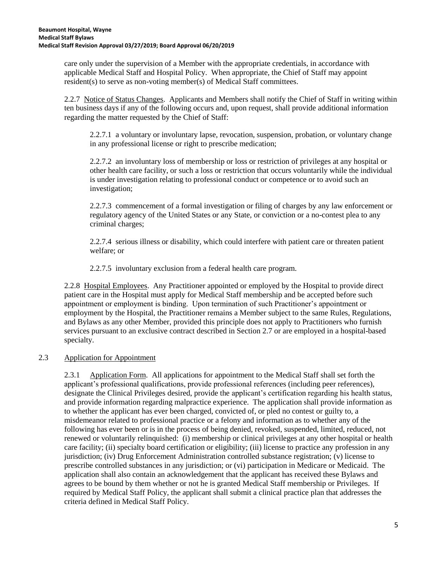care only under the supervision of a Member with the appropriate credentials, in accordance with applicable Medical Staff and Hospital Policy. When appropriate, the Chief of Staff may appoint resident(s) to serve as non-voting member(s) of Medical Staff committees.

2.2.7 Notice of Status Changes. Applicants and Members shall notify the Chief of Staff in writing within ten business days if any of the following occurs and, upon request, shall provide additional information regarding the matter requested by the Chief of Staff:

2.2.7.1 a voluntary or involuntary lapse, revocation, suspension, probation, or voluntary change in any professional license or right to prescribe medication;

2.2.7.2 an involuntary loss of membership or loss or restriction of privileges at any hospital or other health care facility, or such a loss or restriction that occurs voluntarily while the individual is under investigation relating to professional conduct or competence or to avoid such an investigation;

2.2.7.3 commencement of a formal investigation or filing of charges by any law enforcement or regulatory agency of the United States or any State, or conviction or a no-contest plea to any criminal charges;

2.2.7.4 serious illness or disability, which could interfere with patient care or threaten patient welfare; or

2.2.7.5 involuntary exclusion from a federal health care program.

2.2.8 Hospital Employees. Any Practitioner appointed or employed by the Hospital to provide direct patient care in the Hospital must apply for Medical Staff membership and be accepted before such appointment or employment is binding. Upon termination of such Practitioner's appointment or employment by the Hospital, the Practitioner remains a Member subject to the same Rules, Regulations, and Bylaws as any other Member, provided this principle does not apply to Practitioners who furnish services pursuant to an exclusive contract described in Section 2.7 or are employed in a hospital-based specialty.

# 2.3 Application for Appointment

2.3.1 Application Form. All applications for appointment to the Medical Staff shall set forth the applicant's professional qualifications, provide professional references (including peer references), designate the Clinical Privileges desired, provide the applicant's certification regarding his health status, and provide information regarding malpractice experience. The application shall provide information as to whether the applicant has ever been charged, convicted of, or pled no contest or guilty to, a misdemeanor related to professional practice or a felony and information as to whether any of the following has ever been or is in the process of being denied, revoked, suspended, limited, reduced, not renewed or voluntarily relinquished: (i) membership or clinical privileges at any other hospital or health care facility; (ii) specialty board certification or eligibility; (iii) license to practice any profession in any jurisdiction; (iv) Drug Enforcement Administration controlled substance registration; (v) license to prescribe controlled substances in any jurisdiction; or (vi) participation in Medicare or Medicaid. The application shall also contain an acknowledgement that the applicant has received these Bylaws and agrees to be bound by them whether or not he is granted Medical Staff membership or Privileges. If required by Medical Staff Policy, the applicant shall submit a clinical practice plan that addresses the criteria defined in Medical Staff Policy.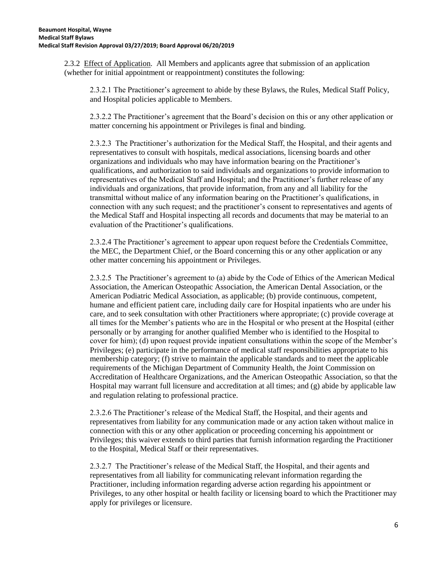2.3.2 Effect of Application. All Members and applicants agree that submission of an application (whether for initial appointment or reappointment) constitutes the following:

2.3.2.1 The Practitioner's agreement to abide by these Bylaws, the Rules, Medical Staff Policy, and Hospital policies applicable to Members.

2.3.2.2 The Practitioner's agreement that the Board's decision on this or any other application or matter concerning his appointment or Privileges is final and binding.

2.3.2.3 The Practitioner's authorization for the Medical Staff, the Hospital, and their agents and representatives to consult with hospitals, medical associations, licensing boards and other organizations and individuals who may have information bearing on the Practitioner's qualifications, and authorization to said individuals and organizations to provide information to representatives of the Medical Staff and Hospital; and the Practitioner's further release of any individuals and organizations, that provide information, from any and all liability for the transmittal without malice of any information bearing on the Practitioner's qualifications, in connection with any such request; and the practitioner's consent to representatives and agents of the Medical Staff and Hospital inspecting all records and documents that may be material to an evaluation of the Practitioner's qualifications.

2.3.2.4 The Practitioner's agreement to appear upon request before the Credentials Committee, the MEC, the Department Chief, or the Board concerning this or any other application or any other matter concerning his appointment or Privileges.

2.3.2.5 The Practitioner's agreement to (a) abide by the Code of Ethics of the American Medical Association, the American Osteopathic Association, the American Dental Association, or the American Podiatric Medical Association, as applicable; (b) provide continuous, competent, humane and efficient patient care, including daily care for Hospital inpatients who are under his care, and to seek consultation with other Practitioners where appropriate; (c) provide coverage at all times for the Member's patients who are in the Hospital or who present at the Hospital (either personally or by arranging for another qualified Member who is identified to the Hospital to cover for him); (d) upon request provide inpatient consultations within the scope of the Member's Privileges; (e) participate in the performance of medical staff responsibilities appropriate to his membership category; (f) strive to maintain the applicable standards and to meet the applicable requirements of the Michigan Department of Community Health, the Joint Commission on Accreditation of Healthcare Organizations, and the American Osteopathic Association, so that the Hospital may warrant full licensure and accreditation at all times; and (g) abide by applicable law and regulation relating to professional practice.

2.3.2.6 The Practitioner's release of the Medical Staff, the Hospital, and their agents and representatives from liability for any communication made or any action taken without malice in connection with this or any other application or proceeding concerning his appointment or Privileges; this waiver extends to third parties that furnish information regarding the Practitioner to the Hospital, Medical Staff or their representatives.

2.3.2.7 The Practitioner's release of the Medical Staff, the Hospital, and their agents and representatives from all liability for communicating relevant information regarding the Practitioner, including information regarding adverse action regarding his appointment or Privileges, to any other hospital or health facility or licensing board to which the Practitioner may apply for privileges or licensure.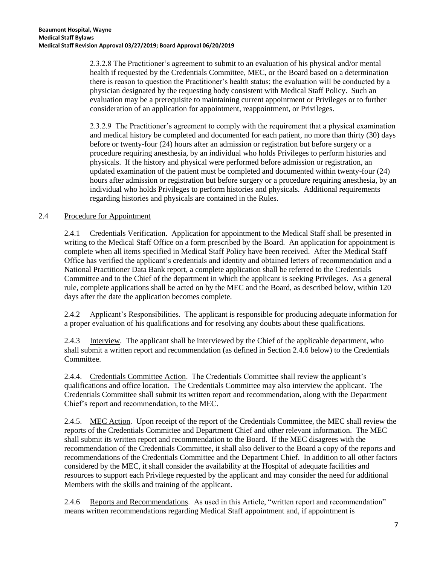2.3.2.8 The Practitioner's agreement to submit to an evaluation of his physical and/or mental health if requested by the Credentials Committee, MEC, or the Board based on a determination there is reason to question the Practitioner's health status; the evaluation will be conducted by a physician designated by the requesting body consistent with Medical Staff Policy. Such an evaluation may be a prerequisite to maintaining current appointment or Privileges or to further consideration of an application for appointment, reappointment, or Privileges.

2.3.2.9 The Practitioner's agreement to comply with the requirement that a physical examination and medical history be completed and documented for each patient, no more than thirty (30) days before or twenty-four (24) hours after an admission or registration but before surgery or a procedure requiring anesthesia, by an individual who holds Privileges to perform histories and physicals. If the history and physical were performed before admission or registration, an updated examination of the patient must be completed and documented within twenty-four (24) hours after admission or registration but before surgery or a procedure requiring anesthesia, by an individual who holds Privileges to perform histories and physicals. Additional requirements regarding histories and physicals are contained in the Rules.

# 2.4 Procedure for Appointment

2.4.1 Credentials Verification. Application for appointment to the Medical Staff shall be presented in writing to the Medical Staff Office on a form prescribed by the Board. An application for appointment is complete when all items specified in Medical Staff Policy have been received. After the Medical Staff Office has verified the applicant's credentials and identity and obtained letters of recommendation and a National Practitioner Data Bank report, a complete application shall be referred to the Credentials Committee and to the Chief of the department in which the applicant is seeking Privileges. As a general rule, complete applications shall be acted on by the MEC and the Board, as described below, within 120 days after the date the application becomes complete.

2.4.2 Applicant's Responsibilities. The applicant is responsible for producing adequate information for a proper evaluation of his qualifications and for resolving any doubts about these qualifications.

2.4.3 Interview. The applicant shall be interviewed by the Chief of the applicable department, who shall submit a written report and recommendation (as defined in Section 2.4.6 below) to the Credentials Committee.

2.4.4. Credentials Committee Action. The Credentials Committee shall review the applicant's qualifications and office location. The Credentials Committee may also interview the applicant. The Credentials Committee shall submit its written report and recommendation, along with the Department Chief's report and recommendation, to the MEC.

2.4.5. MEC Action. Upon receipt of the report of the Credentials Committee, the MEC shall review the reports of the Credentials Committee and Department Chief and other relevant information. The MEC shall submit its written report and recommendation to the Board. If the MEC disagrees with the recommendation of the Credentials Committee, it shall also deliver to the Board a copy of the reports and recommendations of the Credentials Committee and the Department Chief. In addition to all other factors considered by the MEC, it shall consider the availability at the Hospital of adequate facilities and resources to support each Privilege requested by the applicant and may consider the need for additional Members with the skills and training of the applicant.

2.4.6 Reports and Recommendations. As used in this Article, "written report and recommendation" means written recommendations regarding Medical Staff appointment and, if appointment is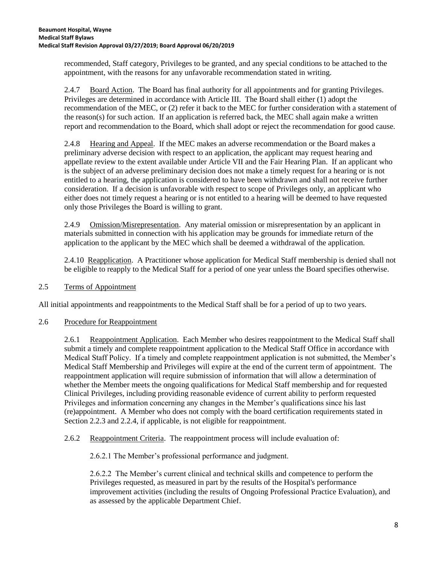recommended, Staff category, Privileges to be granted, and any special conditions to be attached to the appointment, with the reasons for any unfavorable recommendation stated in writing.

2.4.7 Board Action. The Board has final authority for all appointments and for granting Privileges. Privileges are determined in accordance with Article III. The Board shall either (1) adopt the recommendation of the MEC, or (2) refer it back to the MEC for further consideration with a statement of the reason(s) for such action. If an application is referred back, the MEC shall again make a written report and recommendation to the Board, which shall adopt or reject the recommendation for good cause.

2.4.8 Hearing and Appeal. If the MEC makes an adverse recommendation or the Board makes a preliminary adverse decision with respect to an application, the applicant may request hearing and appellate review to the extent available under Article VII and the Fair Hearing Plan. If an applicant who is the subject of an adverse preliminary decision does not make a timely request for a hearing or is not entitled to a hearing, the application is considered to have been withdrawn and shall not receive further consideration. If a decision is unfavorable with respect to scope of Privileges only, an applicant who either does not timely request a hearing or is not entitled to a hearing will be deemed to have requested only those Privileges the Board is willing to grant.

2.4.9 Omission/Misrepresentation. Any material omission or misrepresentation by an applicant in materials submitted in connection with his application may be grounds for immediate return of the application to the applicant by the MEC which shall be deemed a withdrawal of the application.

2.4.10 Reapplication. A Practitioner whose application for Medical Staff membership is denied shall not be eligible to reapply to the Medical Staff for a period of one year unless the Board specifies otherwise.

2.5 Terms of Appointment

All initial appointments and reappointments to the Medical Staff shall be for a period of up to two years.

# 2.6 Procedure for Reappointment

2.6.1 Reappointment Application. Each Member who desires reappointment to the Medical Staff shall submit a timely and complete reappointment application to the Medical Staff Office in accordance with Medical Staff Policy. If a timely and complete reappointment application is not submitted, the Member's Medical Staff Membership and Privileges will expire at the end of the current term of appointment. The reappointment application will require submission of information that will allow a determination of whether the Member meets the ongoing qualifications for Medical Staff membership and for requested Clinical Privileges, including providing reasonable evidence of current ability to perform requested Privileges and information concerning any changes in the Member's qualifications since his last (re)appointment. A Member who does not comply with the board certification requirements stated in Section 2.2.3 and 2.2.4, if applicable, is not eligible for reappointment.

# 2.6.2 Reappointment Criteria. The reappointment process will include evaluation of:

2.6.2.1 The Member's professional performance and judgment.

2.6.2.2 The Member's current clinical and technical skills and competence to perform the Privileges requested, as measured in part by the results of the Hospital's performance improvement activities (including the results of Ongoing Professional Practice Evaluation), and as assessed by the applicable Department Chief.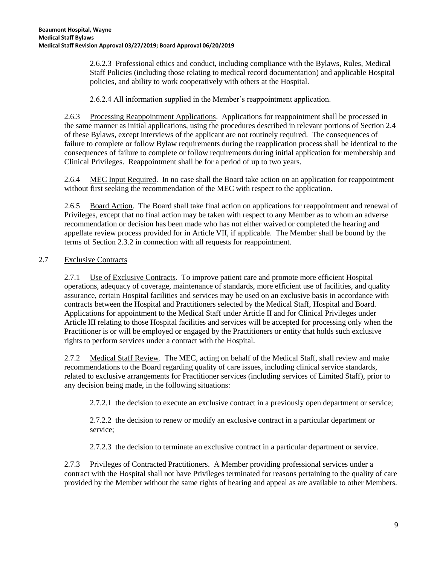2.6.2.3 Professional ethics and conduct, including compliance with the Bylaws, Rules, Medical Staff Policies (including those relating to medical record documentation) and applicable Hospital policies, and ability to work cooperatively with others at the Hospital.

2.6.2.4 All information supplied in the Member's reappointment application.

2.6.3 Processing Reappointment Applications. Applications for reappointment shall be processed in the same manner as initial applications, using the procedures described in relevant portions of Section 2.4 of these Bylaws, except interviews of the applicant are not routinely required. The consequences of failure to complete or follow Bylaw requirements during the reapplication process shall be identical to the consequences of failure to complete or follow requirements during initial application for membership and Clinical Privileges. Reappointment shall be for a period of up to two years.

2.6.4 MEC Input Required. In no case shall the Board take action on an application for reappointment without first seeking the recommendation of the MEC with respect to the application.

2.6.5 Board Action. The Board shall take final action on applications for reappointment and renewal of Privileges, except that no final action may be taken with respect to any Member as to whom an adverse recommendation or decision has been made who has not either waived or completed the hearing and appellate review process provided for in Article VII, if applicable. The Member shall be bound by the terms of Section 2.3.2 in connection with all requests for reappointment.

# 2.7 Exclusive Contracts

2.7.1 Use of Exclusive Contracts. To improve patient care and promote more efficient Hospital operations, adequacy of coverage, maintenance of standards, more efficient use of facilities, and quality assurance, certain Hospital facilities and services may be used on an exclusive basis in accordance with contracts between the Hospital and Practitioners selected by the Medical Staff, Hospital and Board. Applications for appointment to the Medical Staff under Article II and for Clinical Privileges under Article III relating to those Hospital facilities and services will be accepted for processing only when the Practitioner is or will be employed or engaged by the Practitioners or entity that holds such exclusive rights to perform services under a contract with the Hospital.

2.7.2 Medical Staff Review. The MEC, acting on behalf of the Medical Staff, shall review and make recommendations to the Board regarding quality of care issues, including clinical service standards, related to exclusive arrangements for Practitioner services (including services of Limited Staff), prior to any decision being made, in the following situations:

2.7.2.1 the decision to execute an exclusive contract in a previously open department or service;

2.7.2.2 the decision to renew or modify an exclusive contract in a particular department or service;

2.7.2.3 the decision to terminate an exclusive contract in a particular department or service.

2.7.3 Privileges of Contracted Practitioners. A Member providing professional services under a contract with the Hospital shall not have Privileges terminated for reasons pertaining to the quality of care provided by the Member without the same rights of hearing and appeal as are available to other Members.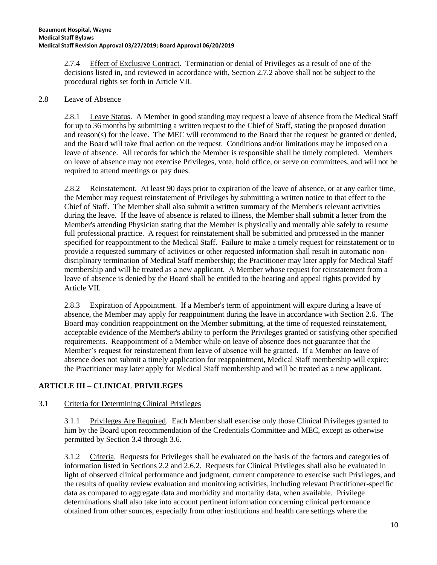2.7.4 Effect of Exclusive Contract. Termination or denial of Privileges as a result of one of the decisions listed in, and reviewed in accordance with, Section 2.7.2 above shall not be subject to the procedural rights set forth in Article VII.

## 2.8 Leave of Absence

2.8.1 Leave Status. A Member in good standing may request a leave of absence from the Medical Staff for up to 36 months by submitting a written request to the Chief of Staff, stating the proposed duration and reason(s) for the leave. The MEC will recommend to the Board that the request be granted or denied, and the Board will take final action on the request. Conditions and/or limitations may be imposed on a leave of absence. All records for which the Member is responsible shall be timely completed. Members on leave of absence may not exercise Privileges, vote, hold office, or serve on committees, and will not be required to attend meetings or pay dues.

2.8.2 Reinstatement. At least 90 days prior to expiration of the leave of absence, or at any earlier time, the Member may request reinstatement of Privileges by submitting a written notice to that effect to the Chief of Staff. The Member shall also submit a written summary of the Member's relevant activities during the leave. If the leave of absence is related to illness, the Member shall submit a letter from the Member's attending Physician stating that the Member is physically and mentally able safely to resume full professional practice. A request for reinstatement shall be submitted and processed in the manner specified for reappointment to the Medical Staff. Failure to make a timely request for reinstatement or to provide a requested summary of activities or other requested information shall result in automatic nondisciplinary termination of Medical Staff membership; the Practitioner may later apply for Medical Staff membership and will be treated as a new applicant. A Member whose request for reinstatement from a leave of absence is denied by the Board shall be entitled to the hearing and appeal rights provided by Article VII.

2.8.3 Expiration of Appointment. If a Member's term of appointment will expire during a leave of absence, the Member may apply for reappointment during the leave in accordance with Section 2.6. The Board may condition reappointment on the Member submitting, at the time of requested reinstatement, acceptable evidence of the Member's ability to perform the Privileges granted or satisfying other specified requirements. Reappointment of a Member while on leave of absence does not guarantee that the Member's request for reinstatement from leave of absence will be granted. If a Member on leave of absence does not submit a timely application for reappointment, Medical Staff membership will expire; the Practitioner may later apply for Medical Staff membership and will be treated as a new applicant.

# **ARTICLE III – CLINICAL PRIVILEGES**

# 3.1 Criteria for Determining Clinical Privileges

3.1.1 Privileges Are Required. Each Member shall exercise only those Clinical Privileges granted to him by the Board upon recommendation of the Credentials Committee and MEC, except as otherwise permitted by Section 3.4 through 3.6.

3.1.2 Criteria. Requests for Privileges shall be evaluated on the basis of the factors and categories of information listed in Sections 2.2 and 2.6.2. Requests for Clinical Privileges shall also be evaluated in light of observed clinical performance and judgment, current competence to exercise such Privileges, and the results of quality review evaluation and monitoring activities, including relevant Practitioner-specific data as compared to aggregate data and morbidity and mortality data, when available. Privilege determinations shall also take into account pertinent information concerning clinical performance obtained from other sources, especially from other institutions and health care settings where the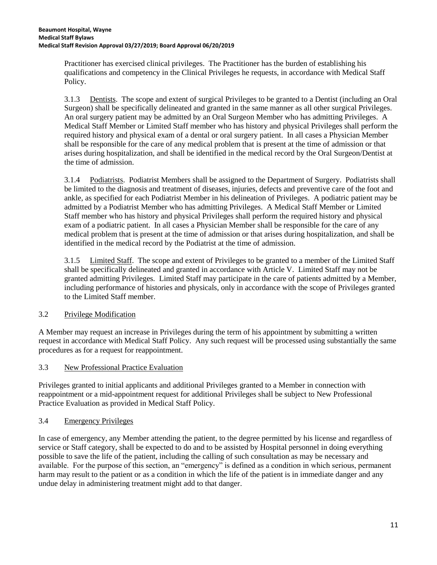Practitioner has exercised clinical privileges. The Practitioner has the burden of establishing his qualifications and competency in the Clinical Privileges he requests, in accordance with Medical Staff Policy.

3.1.3 Dentists. The scope and extent of surgical Privileges to be granted to a Dentist (including an Oral Surgeon) shall be specifically delineated and granted in the same manner as all other surgical Privileges. An oral surgery patient may be admitted by an Oral Surgeon Member who has admitting Privileges. A Medical Staff Member or Limited Staff member who has history and physical Privileges shall perform the required history and physical exam of a dental or oral surgery patient. In all cases a Physician Member shall be responsible for the care of any medical problem that is present at the time of admission or that arises during hospitalization, and shall be identified in the medical record by the Oral Surgeon/Dentist at the time of admission.

3.1.4 Podiatrists. Podiatrist Members shall be assigned to the Department of Surgery. Podiatrists shall be limited to the diagnosis and treatment of diseases, injuries, defects and preventive care of the foot and ankle, as specified for each Podiatrist Member in his delineation of Privileges. A podiatric patient may be admitted by a Podiatrist Member who has admitting Privileges. A Medical Staff Member or Limited Staff member who has history and physical Privileges shall perform the required history and physical exam of a podiatric patient. In all cases a Physician Member shall be responsible for the care of any medical problem that is present at the time of admission or that arises during hospitalization, and shall be identified in the medical record by the Podiatrist at the time of admission.

3.1.5 Limited Staff. The scope and extent of Privileges to be granted to a member of the Limited Staff shall be specifically delineated and granted in accordance with Article V. Limited Staff may not be granted admitting Privileges. Limited Staff may participate in the care of patients admitted by a Member, including performance of histories and physicals, only in accordance with the scope of Privileges granted to the Limited Staff member.

# 3.2 Privilege Modification

A Member may request an increase in Privileges during the term of his appointment by submitting a written request in accordance with Medical Staff Policy. Any such request will be processed using substantially the same procedures as for a request for reappointment.

# 3.3 New Professional Practice Evaluation

Privileges granted to initial applicants and additional Privileges granted to a Member in connection with reappointment or a mid-appointment request for additional Privileges shall be subject to New Professional Practice Evaluation as provided in Medical Staff Policy.

# 3.4 Emergency Privileges

In case of emergency, any Member attending the patient, to the degree permitted by his license and regardless of service or Staff category, shall be expected to do and to be assisted by Hospital personnel in doing everything possible to save the life of the patient, including the calling of such consultation as may be necessary and available. For the purpose of this section, an "emergency" is defined as a condition in which serious, permanent harm may result to the patient or as a condition in which the life of the patient is in immediate danger and any undue delay in administering treatment might add to that danger.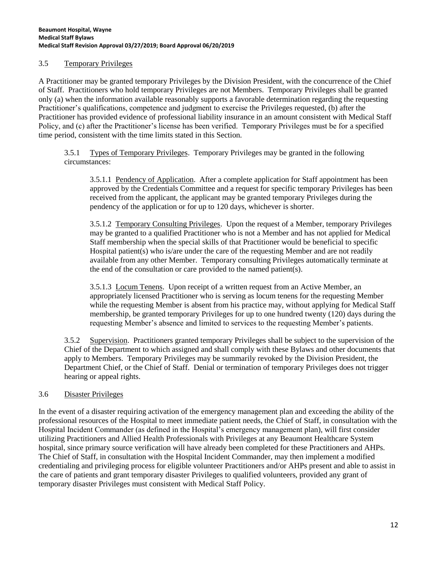## 3.5 Temporary Privileges

A Practitioner may be granted temporary Privileges by the Division President, with the concurrence of the Chief of Staff. Practitioners who hold temporary Privileges are not Members. Temporary Privileges shall be granted only (a) when the information available reasonably supports a favorable determination regarding the requesting Practitioner's qualifications, competence and judgment to exercise the Privileges requested, (b) after the Practitioner has provided evidence of professional liability insurance in an amount consistent with Medical Staff Policy, and (c) after the Practitioner's license has been verified. Temporary Privileges must be for a specified time period, consistent with the time limits stated in this Section.

3.5.1 Types of Temporary Privileges. Temporary Privileges may be granted in the following circumstances:

3.5.1.1 Pendency of Application. After a complete application for Staff appointment has been approved by the Credentials Committee and a request for specific temporary Privileges has been received from the applicant, the applicant may be granted temporary Privileges during the pendency of the application or for up to 120 days, whichever is shorter.

3.5.1.2 Temporary Consulting Privileges. Upon the request of a Member, temporary Privileges may be granted to a qualified Practitioner who is not a Member and has not applied for Medical Staff membership when the special skills of that Practitioner would be beneficial to specific Hospital patient(s) who is/are under the care of the requesting Member and are not readily available from any other Member. Temporary consulting Privileges automatically terminate at the end of the consultation or care provided to the named patient(s).

3.5.1.3 Locum Tenens. Upon receipt of a written request from an Active Member, an appropriately licensed Practitioner who is serving as locum tenens for the requesting Member while the requesting Member is absent from his practice may, without applying for Medical Staff membership, be granted temporary Privileges for up to one hundred twenty (120) days during the requesting Member's absence and limited to services to the requesting Member's patients.

3.5.2 Supervision. Practitioners granted temporary Privileges shall be subject to the supervision of the Chief of the Department to which assigned and shall comply with these Bylaws and other documents that apply to Members. Temporary Privileges may be summarily revoked by the Division President, the Department Chief, or the Chief of Staff. Denial or termination of temporary Privileges does not trigger hearing or appeal rights.

# 3.6 Disaster Privileges

In the event of a disaster requiring activation of the emergency management plan and exceeding the ability of the professional resources of the Hospital to meet immediate patient needs, the Chief of Staff, in consultation with the Hospital Incident Commander (as defined in the Hospital's emergency management plan), will first consider utilizing Practitioners and Allied Health Professionals with Privileges at any Beaumont Healthcare System hospital, since primary source verification will have already been completed for these Practitioners and AHPs. The Chief of Staff, in consultation with the Hospital Incident Commander, may then implement a modified credentialing and privileging process for eligible volunteer Practitioners and/or AHPs present and able to assist in the care of patients and grant temporary disaster Privileges to qualified volunteers, provided any grant of temporary disaster Privileges must consistent with Medical Staff Policy.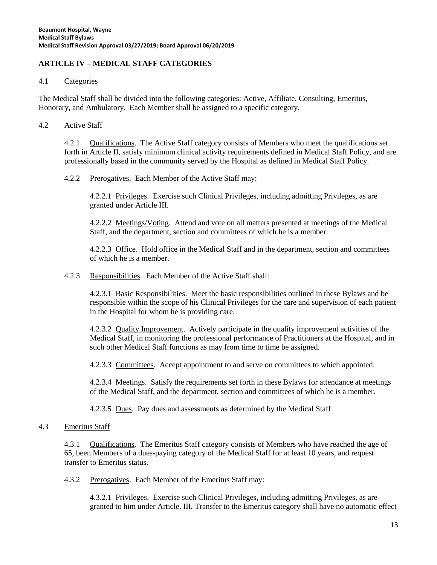# **ARTICLE IV – MEDICAL STAFF CATEGORIES**

#### 4.1 Categories

The Medical Staff shall be divided into the following categories: Active, Affiliate, Consulting, Emeritus, Honorary, and Ambulatory. Each Member shall be assigned to a specific category.

#### 4.2 Active Staff

4.2.1 Qualifications. The Active Staff category consists of Members who meet the qualifications set forth in Article II, satisfy minimum clinical activity requirements defined in Medical Staff Policy, and are professionally based in the community served by the Hospital as defined in Medical Staff Policy.

4.2.2 Prerogatives. Each Member of the Active Staff may:

4.2.2.1 Privileges. Exercise such Clinical Privileges, including admitting Privileges, as are granted under Article III.

4.2.2.2 Meetings/Voting. Attend and vote on all matters presented at meetings of the Medical Staff, and the department, section and committees of which he is a member.

4.2.2.3 Office. Hold office in the Medical Staff and in the department, section and committees of which he is a member.

4.2.3 Responsibilities. Each Member of the Active Staff shall:

4.2.3.1 Basic Responsibilities. Meet the basic responsibilities outlined in these Bylaws and be responsible within the scope of his Clinical Privileges for the care and supervision of each patient in the Hospital for whom he is providing care.

4.2.3.2 Quality Improvement. Actively participate in the quality improvement activities of the Medical Staff, in monitoring the professional performance of Practitioners at the Hospital, and in such other Medical Staff functions as may from time to time be assigned.

4.2.3.3 Committees. Accept appointment to and serve on committees to which appointed.

4.2.3.4 Meetings. Satisfy the requirements set forth in these Bylaws for attendance at meetings of the Medical Staff, and the department, section and committees of which he is a member.

4.2.3.5 Dues. Pay dues and assessments as determined by the Medical Staff

#### 4.3 Emeritus Staff

4.3.1 Qualifications. The Emeritus Staff category consists of Members who have reached the age of 65, been Members of a dues-paying category of the Medical Staff for at least 10 years, and request transfer to Emeritus status.

4.3.2 Prerogatives. Each Member of the Emeritus Staff may:

4.3.2.1 Privileges. Exercise such Clinical Privileges, including admitting Privileges, as are granted to him under Article. III. Transfer to the Emeritus category shall have no automatic effect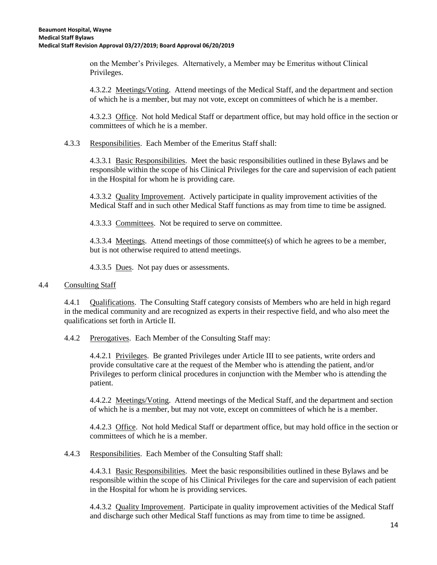on the Member's Privileges. Alternatively, a Member may be Emeritus without Clinical Privileges.

4.3.2.2 Meetings/Voting. Attend meetings of the Medical Staff, and the department and section of which he is a member, but may not vote, except on committees of which he is a member.

4.3.2.3 Office. Not hold Medical Staff or department office, but may hold office in the section or committees of which he is a member.

4.3.3 Responsibilities. Each Member of the Emeritus Staff shall:

4.3.3.1 Basic Responsibilities. Meet the basic responsibilities outlined in these Bylaws and be responsible within the scope of his Clinical Privileges for the care and supervision of each patient in the Hospital for whom he is providing care.

4.3.3.2 Quality Improvement. Actively participate in quality improvement activities of the Medical Staff and in such other Medical Staff functions as may from time to time be assigned.

4.3.3.3 Committees. Not be required to serve on committee.

4.3.3.4 Meetings. Attend meetings of those committee(s) of which he agrees to be a member, but is not otherwise required to attend meetings.

4.3.3.5 Dues. Not pay dues or assessments.

#### 4.4 Consulting Staff

4.4.1 Qualifications. The Consulting Staff category consists of Members who are held in high regard in the medical community and are recognized as experts in their respective field, and who also meet the qualifications set forth in Article II.

4.4.2 Prerogatives. Each Member of the Consulting Staff may:

4.4.2.1 Privileges. Be granted Privileges under Article III to see patients, write orders and provide consultative care at the request of the Member who is attending the patient, and/or Privileges to perform clinical procedures in conjunction with the Member who is attending the patient.

4.4.2.2 Meetings/Voting. Attend meetings of the Medical Staff, and the department and section of which he is a member, but may not vote, except on committees of which he is a member.

4.4.2.3 Office. Not hold Medical Staff or department office, but may hold office in the section or committees of which he is a member.

4.4.3 Responsibilities. Each Member of the Consulting Staff shall:

4.4.3.1 Basic Responsibilities. Meet the basic responsibilities outlined in these Bylaws and be responsible within the scope of his Clinical Privileges for the care and supervision of each patient in the Hospital for whom he is providing services.

4.4.3.2 Quality Improvement. Participate in quality improvement activities of the Medical Staff and discharge such other Medical Staff functions as may from time to time be assigned.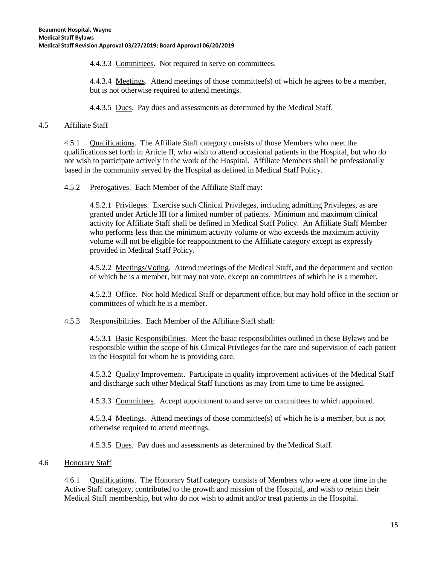4.4.3.3 Committees. Not required to serve on committees.

4.4.3.4 Meetings. Attend meetings of those committee(s) of which he agrees to be a member, but is not otherwise required to attend meetings.

4.4.3.5 Dues. Pay dues and assessments as determined by the Medical Staff.

## 4.5 Affiliate Staff

4.5.1 Qualifications. The Affiliate Staff category consists of those Members who meet the qualifications set forth in Article II, who wish to attend occasional patients in the Hospital, but who do not wish to participate actively in the work of the Hospital. Affiliate Members shall be professionally based in the community served by the Hospital as defined in Medical Staff Policy.

4.5.2 Prerogatives. Each Member of the Affiliate Staff may:

4.5.2.1 Privileges. Exercise such Clinical Privileges, including admitting Privileges, as are granted under Article III for a limited number of patients. Minimum and maximum clinical activity for Affiliate Staff shall be defined in Medical Staff Policy. An Affiliate Staff Member who performs less than the minimum activity volume or who exceeds the maximum activity volume will not be eligible for reappointment to the Affiliate category except as expressly provided in Medical Staff Policy.

4.5.2.2 Meetings/Voting. Attend meetings of the Medical Staff, and the department and section of which he is a member, but may not vote, except on committees of which he is a member.

4.5.2.3 Office. Not hold Medical Staff or department office, but may hold office in the section or committees of which he is a member.

4.5.3 Responsibilities. Each Member of the Affiliate Staff shall:

4.5.3.1 Basic Responsibilities. Meet the basic responsibilities outlined in these Bylaws and be responsible within the scope of his Clinical Privileges for the care and supervision of each patient in the Hospital for whom he is providing care.

4.5.3.2 Quality Improvement. Participate in quality improvement activities of the Medical Staff and discharge such other Medical Staff functions as may from time to time be assigned.

4.5.3.3 Committees. Accept appointment to and serve on committees to which appointed.

4.5.3.4 Meetings. Attend meetings of those committee(s) of which he is a member, but is not otherwise required to attend meetings.

4.5.3.5 Dues. Pay dues and assessments as determined by the Medical Staff.

# 4.6 Honorary Staff

4.6.1 Qualifications. The Honorary Staff category consists of Members who were at one time in the Active Staff category, contributed to the growth and mission of the Hospital, and wish to retain their Medical Staff membership, but who do not wish to admit and/or treat patients in the Hospital.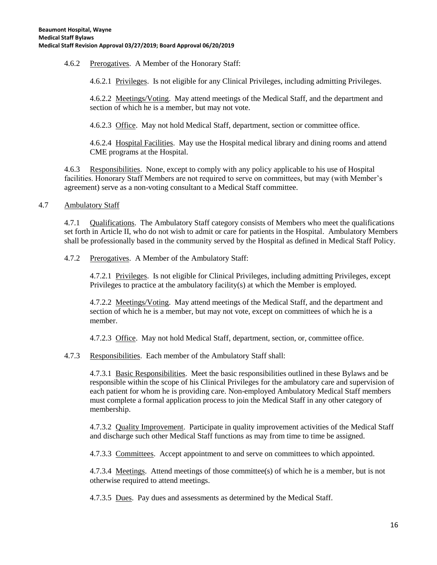4.6.2 Prerogatives. A Member of the Honorary Staff:

4.6.2.1 Privileges. Is not eligible for any Clinical Privileges, including admitting Privileges.

4.6.2.2 Meetings/Voting. May attend meetings of the Medical Staff, and the department and section of which he is a member, but may not vote.

4.6.2.3 Office. May not hold Medical Staff, department, section or committee office.

4.6.2.4 Hospital Facilities. May use the Hospital medical library and dining rooms and attend CME programs at the Hospital.

4.6.3 Responsibilities. None, except to comply with any policy applicable to his use of Hospital facilities. Honorary Staff Members are not required to serve on committees, but may (with Member's agreement) serve as a non-voting consultant to a Medical Staff committee.

4.7 Ambulatory Staff

4.7.1 Qualifications. The Ambulatory Staff category consists of Members who meet the qualifications set forth in Article II, who do not wish to admit or care for patients in the Hospital. Ambulatory Members shall be professionally based in the community served by the Hospital as defined in Medical Staff Policy.

4.7.2 Prerogatives. A Member of the Ambulatory Staff:

4.7.2.1 Privileges. Is not eligible for Clinical Privileges, including admitting Privileges, except Privileges to practice at the ambulatory facility(s) at which the Member is employed.

4.7.2.2 Meetings/Voting. May attend meetings of the Medical Staff, and the department and section of which he is a member, but may not vote, except on committees of which he is a member.

4.7.2.3 Office. May not hold Medical Staff, department, section, or, committee office.

4.7.3 Responsibilities. Each member of the Ambulatory Staff shall:

4.7.3.1 Basic Responsibilities. Meet the basic responsibilities outlined in these Bylaws and be responsible within the scope of his Clinical Privileges for the ambulatory care and supervision of each patient for whom he is providing care. Non-employed Ambulatory Medical Staff members must complete a formal application process to join the Medical Staff in any other category of membership.

4.7.3.2 Quality Improvement. Participate in quality improvement activities of the Medical Staff and discharge such other Medical Staff functions as may from time to time be assigned.

4.7.3.3 Committees. Accept appointment to and serve on committees to which appointed.

4.7.3.4 Meetings. Attend meetings of those committee(s) of which he is a member, but is not otherwise required to attend meetings.

4.7.3.5 Dues. Pay dues and assessments as determined by the Medical Staff.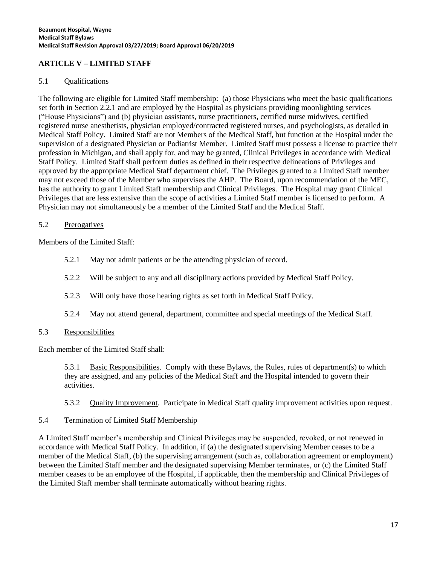# **ARTICLE V – LIMITED STAFF**

## 5.1 Qualifications

The following are eligible for Limited Staff membership: (a) those Physicians who meet the basic qualifications set forth in Section 2.2.1 and are employed by the Hospital as physicians providing moonlighting services ("House Physicians") and (b) physician assistants, nurse practitioners, certified nurse midwives, certified registered nurse anesthetists, physician employed/contracted registered nurses, and psychologists, as detailed in Medical Staff Policy. Limited Staff are not Members of the Medical Staff, but function at the Hospital under the supervision of a designated Physician or Podiatrist Member. Limited Staff must possess a license to practice their profession in Michigan, and shall apply for, and may be granted, Clinical Privileges in accordance with Medical Staff Policy. Limited Staff shall perform duties as defined in their respective delineations of Privileges and approved by the appropriate Medical Staff department chief. The Privileges granted to a Limited Staff member may not exceed those of the Member who supervises the AHP. The Board, upon recommendation of the MEC, has the authority to grant Limited Staff membership and Clinical Privileges. The Hospital may grant Clinical Privileges that are less extensive than the scope of activities a Limited Staff member is licensed to perform. A Physician may not simultaneously be a member of the Limited Staff and the Medical Staff.

## 5.2 Prerogatives

Members of the Limited Staff:

- 5.2.1 May not admit patients or be the attending physician of record.
- 5.2.2 Will be subject to any and all disciplinary actions provided by Medical Staff Policy.
- 5.2.3 Will only have those hearing rights as set forth in Medical Staff Policy.
- 5.2.4 May not attend general, department, committee and special meetings of the Medical Staff.
- 5.3 Responsibilities

Each member of the Limited Staff shall:

5.3.1 Basic Responsibilities. Comply with these Bylaws, the Rules, rules of department(s) to which they are assigned, and any policies of the Medical Staff and the Hospital intended to govern their activities.

5.3.2 Quality Improvement. Participate in Medical Staff quality improvement activities upon request.

#### 5.4 Termination of Limited Staff Membership

A Limited Staff member's membership and Clinical Privileges may be suspended, revoked, or not renewed in accordance with Medical Staff Policy. In addition, if (a) the designated supervising Member ceases to be a member of the Medical Staff, (b) the supervising arrangement (such as, collaboration agreement or employment) between the Limited Staff member and the designated supervising Member terminates, or (c) the Limited Staff member ceases to be an employee of the Hospital, if applicable, then the membership and Clinical Privileges of the Limited Staff member shall terminate automatically without hearing rights.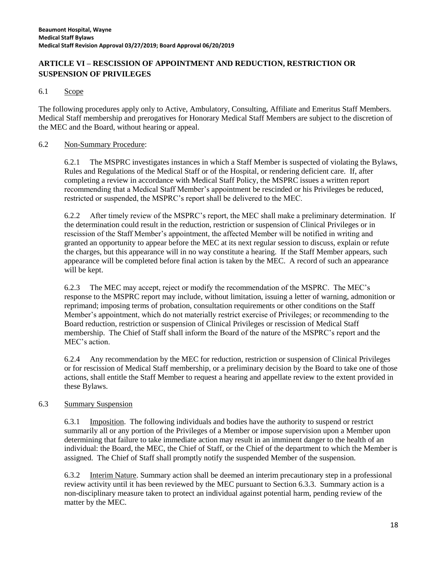# **ARTICLE VI – RESCISSION OF APPOINTMENT AND REDUCTION, RESTRICTION OR SUSPENSION OF PRIVILEGES**

## 6.1 Scope

The following procedures apply only to Active, Ambulatory, Consulting, Affiliate and Emeritus Staff Members. Medical Staff membership and prerogatives for Honorary Medical Staff Members are subject to the discretion of the MEC and the Board, without hearing or appeal.

#### 6.2 Non-Summary Procedure:

6.2.1 The MSPRC investigates instances in which a Staff Member is suspected of violating the Bylaws, Rules and Regulations of the Medical Staff or of the Hospital, or rendering deficient care. If, after completing a review in accordance with Medical Staff Policy, the MSPRC issues a written report recommending that a Medical Staff Member's appointment be rescinded or his Privileges be reduced, restricted or suspended, the MSPRC's report shall be delivered to the MEC.

6.2.2 After timely review of the MSPRC's report, the MEC shall make a preliminary determination. If the determination could result in the reduction, restriction or suspension of Clinical Privileges or in rescission of the Staff Member's appointment, the affected Member will be notified in writing and granted an opportunity to appear before the MEC at its next regular session to discuss, explain or refute the charges, but this appearance will in no way constitute a hearing. If the Staff Member appears, such appearance will be completed before final action is taken by the MEC. A record of such an appearance will be kept.

6.2.3 The MEC may accept, reject or modify the recommendation of the MSPRC. The MEC's response to the MSPRC report may include, without limitation, issuing a letter of warning, admonition or reprimand; imposing terms of probation, consultation requirements or other conditions on the Staff Member's appointment, which do not materially restrict exercise of Privileges; or recommending to the Board reduction, restriction or suspension of Clinical Privileges or rescission of Medical Staff membership. The Chief of Staff shall inform the Board of the nature of the MSPRC's report and the MEC's action.

6.2.4 Any recommendation by the MEC for reduction, restriction or suspension of Clinical Privileges or for rescission of Medical Staff membership, or a preliminary decision by the Board to take one of those actions, shall entitle the Staff Member to request a hearing and appellate review to the extent provided in these Bylaws.

#### 6.3 Summary Suspension

6.3.1 Imposition. The following individuals and bodies have the authority to suspend or restrict summarily all or any portion of the Privileges of a Member or impose supervision upon a Member upon determining that failure to take immediate action may result in an imminent danger to the health of an individual: the Board, the MEC, the Chief of Staff, or the Chief of the department to which the Member is assigned. The Chief of Staff shall promptly notify the suspended Member of the suspension.

6.3.2 Interim Nature. Summary action shall be deemed an interim precautionary step in a professional review activity until it has been reviewed by the MEC pursuant to Section 6.3.3. Summary action is a non-disciplinary measure taken to protect an individual against potential harm, pending review of the matter by the MEC.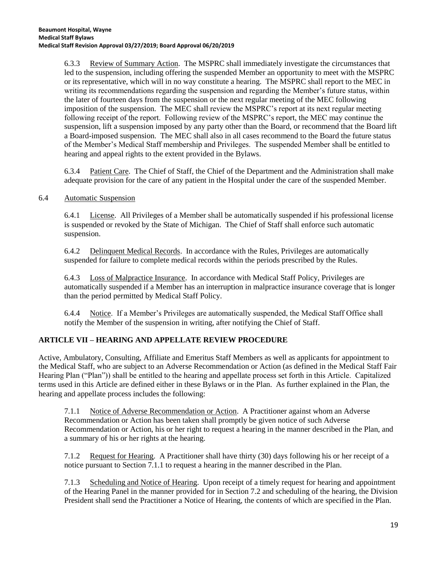6.3.3 Review of Summary Action. The MSPRC shall immediately investigate the circumstances that led to the suspension, including offering the suspended Member an opportunity to meet with the MSPRC or its representative, which will in no way constitute a hearing. The MSPRC shall report to the MEC in writing its recommendations regarding the suspension and regarding the Member's future status, within the later of fourteen days from the suspension or the next regular meeting of the MEC following imposition of the suspension. The MEC shall review the MSPRC's report at its next regular meeting following receipt of the report. Following review of the MSPRC's report, the MEC may continue the suspension, lift a suspension imposed by any party other than the Board, or recommend that the Board lift a Board-imposed suspension. The MEC shall also in all cases recommend to the Board the future status of the Member's Medical Staff membership and Privileges. The suspended Member shall be entitled to hearing and appeal rights to the extent provided in the Bylaws.

6.3.4 Patient Care. The Chief of Staff, the Chief of the Department and the Administration shall make adequate provision for the care of any patient in the Hospital under the care of the suspended Member.

#### 6.4 Automatic Suspension

6.4.1 License. All Privileges of a Member shall be automatically suspended if his professional license is suspended or revoked by the State of Michigan. The Chief of Staff shall enforce such automatic suspension.

6.4.2 Delinquent Medical Records. In accordance with the Rules, Privileges are automatically suspended for failure to complete medical records within the periods prescribed by the Rules.

6.4.3 Loss of Malpractice Insurance. In accordance with Medical Staff Policy, Privileges are automatically suspended if a Member has an interruption in malpractice insurance coverage that is longer than the period permitted by Medical Staff Policy.

6.4.4 Notice. If a Member's Privileges are automatically suspended, the Medical Staff Office shall notify the Member of the suspension in writing, after notifying the Chief of Staff.

# **ARTICLE VII – HEARING AND APPELLATE REVIEW PROCEDURE**

Active, Ambulatory, Consulting, Affiliate and Emeritus Staff Members as well as applicants for appointment to the Medical Staff, who are subject to an Adverse Recommendation or Action (as defined in the Medical Staff Fair Hearing Plan ("Plan")) shall be entitled to the hearing and appellate process set forth in this Article. Capitalized terms used in this Article are defined either in these Bylaws or in the Plan. As further explained in the Plan, the hearing and appellate process includes the following:

7.1.1 Notice of Adverse Recommendation or Action. A Practitioner against whom an Adverse Recommendation or Action has been taken shall promptly be given notice of such Adverse Recommendation or Action, his or her right to request a hearing in the manner described in the Plan, and a summary of his or her rights at the hearing.

7.1.2 Request for Hearing. A Practitioner shall have thirty (30) days following his or her receipt of a notice pursuant to Section 7.1.1 to request a hearing in the manner described in the Plan.

7.1.3 Scheduling and Notice of Hearing. Upon receipt of a timely request for hearing and appointment of the Hearing Panel in the manner provided for in Section 7.2 and scheduling of the hearing, the Division President shall send the Practitioner a Notice of Hearing, the contents of which are specified in the Plan.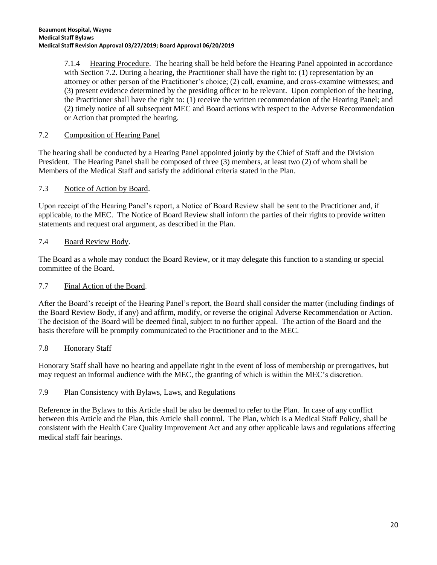7.1.4 Hearing Procedure. The hearing shall be held before the Hearing Panel appointed in accordance with Section 7.2. During a hearing, the Practitioner shall have the right to: (1) representation by an attorney or other person of the Practitioner's choice; (2) call, examine, and cross-examine witnesses; and (3) present evidence determined by the presiding officer to be relevant. Upon completion of the hearing, the Practitioner shall have the right to: (1) receive the written recommendation of the Hearing Panel; and (2) timely notice of all subsequent MEC and Board actions with respect to the Adverse Recommendation or Action that prompted the hearing.

# 7.2 Composition of Hearing Panel

The hearing shall be conducted by a Hearing Panel appointed jointly by the Chief of Staff and the Division President. The Hearing Panel shall be composed of three (3) members, at least two (2) of whom shall be Members of the Medical Staff and satisfy the additional criteria stated in the Plan.

# 7.3 Notice of Action by Board.

Upon receipt of the Hearing Panel's report, a Notice of Board Review shall be sent to the Practitioner and, if applicable, to the MEC. The Notice of Board Review shall inform the parties of their rights to provide written statements and request oral argument, as described in the Plan.

# 7.4 Board Review Body.

The Board as a whole may conduct the Board Review, or it may delegate this function to a standing or special committee of the Board.

# 7.7 Final Action of the Board.

After the Board's receipt of the Hearing Panel's report, the Board shall consider the matter (including findings of the Board Review Body, if any) and affirm, modify, or reverse the original Adverse Recommendation or Action. The decision of the Board will be deemed final, subject to no further appeal. The action of the Board and the basis therefore will be promptly communicated to the Practitioner and to the MEC.

# 7.8 Honorary Staff

Honorary Staff shall have no hearing and appellate right in the event of loss of membership or prerogatives, but may request an informal audience with the MEC, the granting of which is within the MEC's discretion.

# 7.9 Plan Consistency with Bylaws, Laws, and Regulations

Reference in the Bylaws to this Article shall be also be deemed to refer to the Plan. In case of any conflict between this Article and the Plan, this Article shall control. The Plan, which is a Medical Staff Policy, shall be consistent with the Health Care Quality Improvement Act and any other applicable laws and regulations affecting medical staff fair hearings.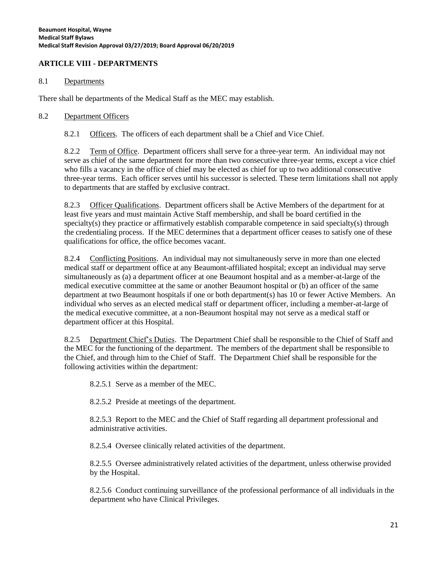## **ARTICLE VIII - DEPARTMENTS**

#### 8.1 Departments

There shall be departments of the Medical Staff as the MEC may establish.

#### 8.2 Department Officers

8.2.1 Officers. The officers of each department shall be a Chief and Vice Chief.

8.2.2 Term of Office. Department officers shall serve for a three-year term. An individual may not serve as chief of the same department for more than two consecutive three-year terms, except a vice chief who fills a vacancy in the office of chief may be elected as chief for up to two additional consecutive three-year terms. Each officer serves until his successor is selected. These term limitations shall not apply to departments that are staffed by exclusive contract.

8.2.3 Officer Qualifications. Department officers shall be Active Members of the department for at least five years and must maintain Active Staff membership, and shall be board certified in the specialty(s) they practice or affirmatively establish comparable competence in said specialty(s) through the credentialing process. If the MEC determines that a department officer ceases to satisfy one of these qualifications for office, the office becomes vacant.

8.2.4 Conflicting Positions. An individual may not simultaneously serve in more than one elected medical staff or department office at any Beaumont-affiliated hospital; except an individual may serve simultaneously as (a) a department officer at one Beaumont hospital and as a member-at-large of the medical executive committee at the same or another Beaumont hospital or (b) an officer of the same department at two Beaumont hospitals if one or both department(s) has 10 or fewer Active Members. An individual who serves as an elected medical staff or department officer, including a member-at-large of the medical executive committee, at a non-Beaumont hospital may not serve as a medical staff or department officer at this Hospital.

8.2.5 Department Chief's Duties. The Department Chief shall be responsible to the Chief of Staff and the MEC for the functioning of the department. The members of the department shall be responsible to the Chief, and through him to the Chief of Staff. The Department Chief shall be responsible for the following activities within the department:

8.2.5.1 Serve as a member of the MEC.

8.2.5.2 Preside at meetings of the department.

8.2.5.3 Report to the MEC and the Chief of Staff regarding all department professional and administrative activities.

8.2.5.4 Oversee clinically related activities of the department.

8.2.5.5 Oversee administratively related activities of the department, unless otherwise provided by the Hospital.

8.2.5.6 Conduct continuing surveillance of the professional performance of all individuals in the department who have Clinical Privileges.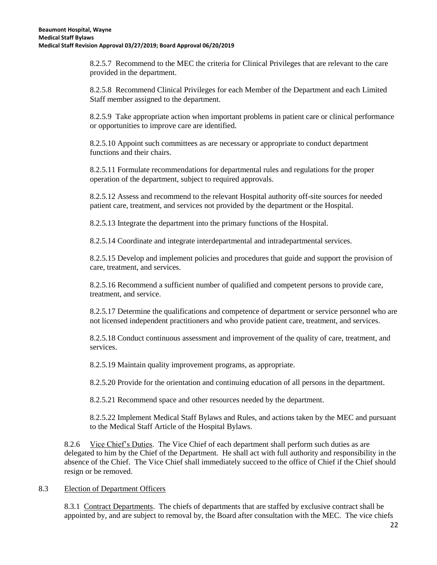8.2.5.7 Recommend to the MEC the criteria for Clinical Privileges that are relevant to the care provided in the department.

8.2.5.8 Recommend Clinical Privileges for each Member of the Department and each Limited Staff member assigned to the department.

8.2.5.9 Take appropriate action when important problems in patient care or clinical performance or opportunities to improve care are identified.

8.2.5.10 Appoint such committees as are necessary or appropriate to conduct department functions and their chairs.

8.2.5.11 Formulate recommendations for departmental rules and regulations for the proper operation of the department, subject to required approvals.

8.2.5.12 Assess and recommend to the relevant Hospital authority off-site sources for needed patient care, treatment, and services not provided by the department or the Hospital.

8.2.5.13 Integrate the department into the primary functions of the Hospital.

8.2.5.14 Coordinate and integrate interdepartmental and intradepartmental services.

8.2.5.15 Develop and implement policies and procedures that guide and support the provision of care, treatment, and services.

8.2.5.16 Recommend a sufficient number of qualified and competent persons to provide care, treatment, and service.

8.2.5.17 Determine the qualifications and competence of department or service personnel who are not licensed independent practitioners and who provide patient care, treatment, and services.

8.2.5.18 Conduct continuous assessment and improvement of the quality of care, treatment, and services.

8.2.5.19 Maintain quality improvement programs, as appropriate.

8.2.5.20 Provide for the orientation and continuing education of all persons in the department.

8.2.5.21 Recommend space and other resources needed by the department.

8.2.5.22 Implement Medical Staff Bylaws and Rules, and actions taken by the MEC and pursuant to the Medical Staff Article of the Hospital Bylaws.

8.2.6 Vice Chief's Duties. The Vice Chief of each department shall perform such duties as are delegated to him by the Chief of the Department. He shall act with full authority and responsibility in the absence of the Chief. The Vice Chief shall immediately succeed to the office of Chief if the Chief should resign or be removed.

#### 8.3 Election of Department Officers

8.3.1 Contract Departments. The chiefs of departments that are staffed by exclusive contract shall be appointed by, and are subject to removal by, the Board after consultation with the MEC. The vice chiefs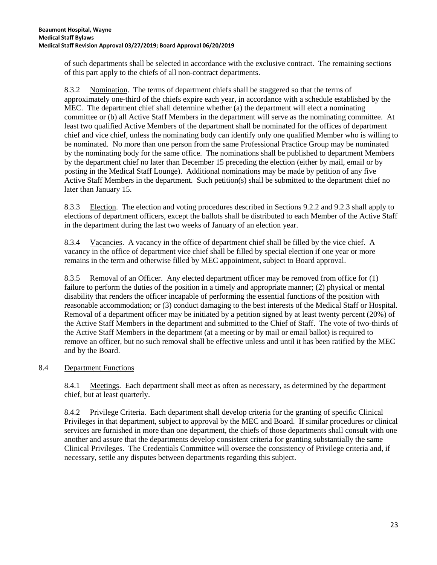of such departments shall be selected in accordance with the exclusive contract. The remaining sections of this part apply to the chiefs of all non-contract departments.

8.3.2 Nomination. The terms of department chiefs shall be staggered so that the terms of approximately one-third of the chiefs expire each year, in accordance with a schedule established by the MEC. The department chief shall determine whether (a) the department will elect a nominating committee or (b) all Active Staff Members in the department will serve as the nominating committee. At least two qualified Active Members of the department shall be nominated for the offices of department chief and vice chief, unless the nominating body can identify only one qualified Member who is willing to be nominated. No more than one person from the same Professional Practice Group may be nominated by the nominating body for the same office. The nominations shall be published to department Members by the department chief no later than December 15 preceding the election (either by mail, email or by posting in the Medical Staff Lounge). Additional nominations may be made by petition of any five Active Staff Members in the department. Such petition(s) shall be submitted to the department chief no later than January 15.

8.3.3 Election. The election and voting procedures described in Sections 9.2.2 and 9.2.3 shall apply to elections of department officers, except the ballots shall be distributed to each Member of the Active Staff in the department during the last two weeks of January of an election year.

8.3.4 Vacancies. A vacancy in the office of department chief shall be filled by the vice chief. A vacancy in the office of department vice chief shall be filled by special election if one year or more remains in the term and otherwise filled by MEC appointment, subject to Board approval.

8.3.5 Removal of an Officer. Any elected department officer may be removed from office for (1) failure to perform the duties of the position in a timely and appropriate manner; (2) physical or mental disability that renders the officer incapable of performing the essential functions of the position with reasonable accommodation; or (3) conduct damaging to the best interests of the Medical Staff or Hospital. Removal of a department officer may be initiated by a petition signed by at least twenty percent (20%) of the Active Staff Members in the department and submitted to the Chief of Staff. The vote of two-thirds of the Active Staff Members in the department (at a meeting or by mail or email ballot) is required to remove an officer, but no such removal shall be effective unless and until it has been ratified by the MEC and by the Board.

# 8.4 Department Functions

8.4.1 Meetings. Each department shall meet as often as necessary, as determined by the department chief, but at least quarterly.

8.4.2 Privilege Criteria. Each department shall develop criteria for the granting of specific Clinical Privileges in that department, subject to approval by the MEC and Board. If similar procedures or clinical services are furnished in more than one department, the chiefs of those departments shall consult with one another and assure that the departments develop consistent criteria for granting substantially the same Clinical Privileges. The Credentials Committee will oversee the consistency of Privilege criteria and, if necessary, settle any disputes between departments regarding this subject.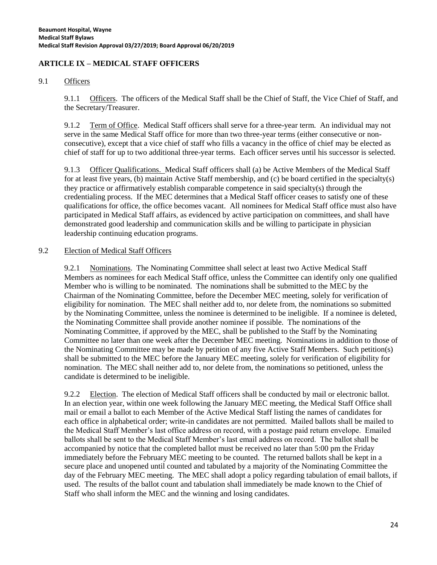# **ARTICLE IX – MEDICAL STAFF OFFICERS**

## 9.1 Officers

9.1.1 Officers. The officers of the Medical Staff shall be the Chief of Staff, the Vice Chief of Staff, and the Secretary/Treasurer.

9.1.2 Term of Office. Medical Staff officers shall serve for a three-year term. An individual may not serve in the same Medical Staff office for more than two three-year terms (either consecutive or nonconsecutive), except that a vice chief of staff who fills a vacancy in the office of chief may be elected as chief of staff for up to two additional three-year terms. Each officer serves until his successor is selected.

9.1.3 Officer Qualifications. Medical Staff officers shall (a) be Active Members of the Medical Staff for at least five years, (b) maintain Active Staff membership, and (c) be board certified in the specialty(s) they practice or affirmatively establish comparable competence in said specialty(s) through the credentialing process. If the MEC determines that a Medical Staff officer ceases to satisfy one of these qualifications for office, the office becomes vacant. All nominees for Medical Staff office must also have participated in Medical Staff affairs, as evidenced by active participation on committees, and shall have demonstrated good leadership and communication skills and be willing to participate in physician leadership continuing education programs.

# 9.2 Election of Medical Staff Officers

9.2.1 Nominations. The Nominating Committee shall select at least two Active Medical Staff Members as nominees for each Medical Staff office, unless the Committee can identify only one qualified Member who is willing to be nominated. The nominations shall be submitted to the MEC by the Chairman of the Nominating Committee, before the December MEC meeting, solely for verification of eligibility for nomination. The MEC shall neither add to, nor delete from, the nominations so submitted by the Nominating Committee, unless the nominee is determined to be ineligible. If a nominee is deleted, the Nominating Committee shall provide another nominee if possible. The nominations of the Nominating Committee, if approved by the MEC, shall be published to the Staff by the Nominating Committee no later than one week after the December MEC meeting. Nominations in addition to those of the Nominating Committee may be made by petition of any five Active Staff Members. Such petition(s) shall be submitted to the MEC before the January MEC meeting, solely for verification of eligibility for nomination. The MEC shall neither add to, nor delete from, the nominations so petitioned, unless the candidate is determined to be ineligible.

9.2.2 Election. The election of Medical Staff officers shall be conducted by mail or electronic ballot. In an election year, within one week following the January MEC meeting, the Medical Staff Office shall mail or email a ballot to each Member of the Active Medical Staff listing the names of candidates for each office in alphabetical order; write-in candidates are not permitted. Mailed ballots shall be mailed to the Medical Staff Member's last office address on record, with a postage paid return envelope. Emailed ballots shall be sent to the Medical Staff Member's last email address on record. The ballot shall be accompanied by notice that the completed ballot must be received no later than 5:00 pm the Friday immediately before the February MEC meeting to be counted. The returned ballots shall be kept in a secure place and unopened until counted and tabulated by a majority of the Nominating Committee the day of the February MEC meeting. The MEC shall adopt a policy regarding tabulation of email ballots, if used. The results of the ballot count and tabulation shall immediately be made known to the Chief of Staff who shall inform the MEC and the winning and losing candidates.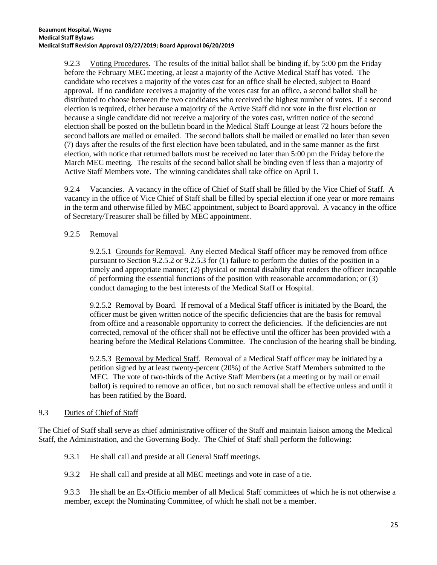9.2.3 Voting Procedures. The results of the initial ballot shall be binding if, by 5:00 pm the Friday before the February MEC meeting, at least a majority of the Active Medical Staff has voted. The candidate who receives a majority of the votes cast for an office shall be elected, subject to Board approval. If no candidate receives a majority of the votes cast for an office, a second ballot shall be distributed to choose between the two candidates who received the highest number of votes. If a second election is required, either because a majority of the Active Staff did not vote in the first election or because a single candidate did not receive a majority of the votes cast, written notice of the second election shall be posted on the bulletin board in the Medical Staff Lounge at least 72 hours before the second ballots are mailed or emailed. The second ballots shall be mailed or emailed no later than seven (7) days after the results of the first election have been tabulated, and in the same manner as the first election, with notice that returned ballots must be received no later than 5:00 pm the Friday before the March MEC meeting. The results of the second ballot shall be binding even if less than a majority of Active Staff Members vote. The winning candidates shall take office on April 1.

9.2.4 Vacancies. A vacancy in the office of Chief of Staff shall be filled by the Vice Chief of Staff. A vacancy in the office of Vice Chief of Staff shall be filled by special election if one year or more remains in the term and otherwise filled by MEC appointment, subject to Board approval. A vacancy in the office of Secretary/Treasurer shall be filled by MEC appointment.

# 9.2.5 Removal

9.2.5.1 Grounds for Removal. Any elected Medical Staff officer may be removed from office pursuant to Section 9.2.5.2 or 9.2.5.3 for (1) failure to perform the duties of the position in a timely and appropriate manner; (2) physical or mental disability that renders the officer incapable of performing the essential functions of the position with reasonable accommodation; or (3) conduct damaging to the best interests of the Medical Staff or Hospital.

9.2.5.2 Removal by Board. If removal of a Medical Staff officer is initiated by the Board, the officer must be given written notice of the specific deficiencies that are the basis for removal from office and a reasonable opportunity to correct the deficiencies. If the deficiencies are not corrected, removal of the officer shall not be effective until the officer has been provided with a hearing before the Medical Relations Committee. The conclusion of the hearing shall be binding.

9.2.5.3 Removal by Medical Staff. Removal of a Medical Staff officer may be initiated by a petition signed by at least twenty-percent (20%) of the Active Staff Members submitted to the MEC. The vote of two-thirds of the Active Staff Members (at a meeting or by mail or email ballot) is required to remove an officer, but no such removal shall be effective unless and until it has been ratified by the Board.

# 9.3 Duties of Chief of Staff

The Chief of Staff shall serve as chief administrative officer of the Staff and maintain liaison among the Medical Staff, the Administration, and the Governing Body. The Chief of Staff shall perform the following:

9.3.1 He shall call and preside at all General Staff meetings.

9.3.2 He shall call and preside at all MEC meetings and vote in case of a tie.

9.3.3 He shall be an Ex-Officio member of all Medical Staff committees of which he is not otherwise a member, except the Nominating Committee, of which he shall not be a member.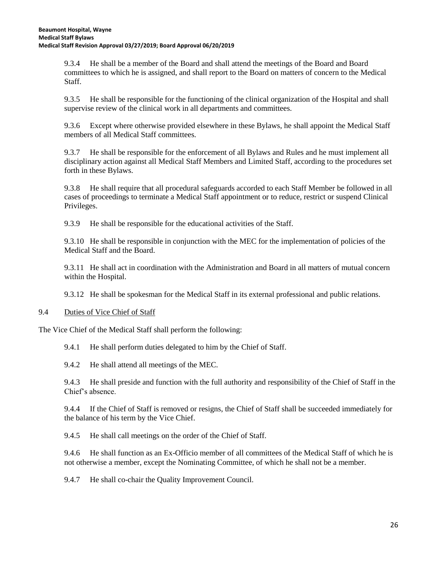9.3.4 He shall be a member of the Board and shall attend the meetings of the Board and Board committees to which he is assigned, and shall report to the Board on matters of concern to the Medical Staff.

9.3.5 He shall be responsible for the functioning of the clinical organization of the Hospital and shall supervise review of the clinical work in all departments and committees.

9.3.6 Except where otherwise provided elsewhere in these Bylaws, he shall appoint the Medical Staff members of all Medical Staff committees.

9.3.7 He shall be responsible for the enforcement of all Bylaws and Rules and he must implement all disciplinary action against all Medical Staff Members and Limited Staff, according to the procedures set forth in these Bylaws.

9.3.8 He shall require that all procedural safeguards accorded to each Staff Member be followed in all cases of proceedings to terminate a Medical Staff appointment or to reduce, restrict or suspend Clinical Privileges.

9.3.9 He shall be responsible for the educational activities of the Staff.

9.3.10 He shall be responsible in conjunction with the MEC for the implementation of policies of the Medical Staff and the Board.

9.3.11 He shall act in coordination with the Administration and Board in all matters of mutual concern within the Hospital.

9.3.12 He shall be spokesman for the Medical Staff in its external professional and public relations.

#### 9.4 Duties of Vice Chief of Staff

The Vice Chief of the Medical Staff shall perform the following:

9.4.1 He shall perform duties delegated to him by the Chief of Staff.

9.4.2 He shall attend all meetings of the MEC.

9.4.3 He shall preside and function with the full authority and responsibility of the Chief of Staff in the Chief's absence.

9.4.4 If the Chief of Staff is removed or resigns, the Chief of Staff shall be succeeded immediately for the balance of his term by the Vice Chief.

9.4.5 He shall call meetings on the order of the Chief of Staff.

9.4.6 He shall function as an Ex-Officio member of all committees of the Medical Staff of which he is not otherwise a member, except the Nominating Committee, of which he shall not be a member.

9.4.7 He shall co-chair the Quality Improvement Council.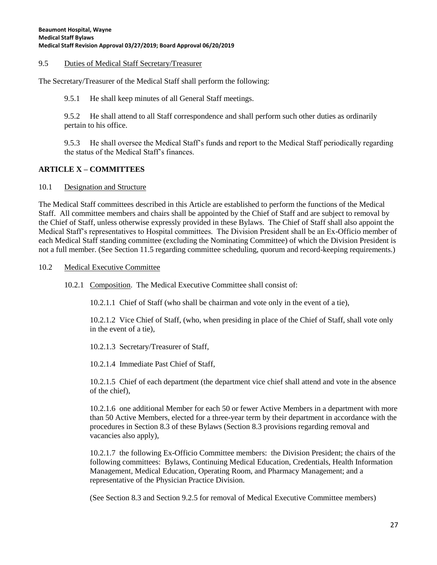#### 9.5 Duties of Medical Staff Secretary/Treasurer

The Secretary/Treasurer of the Medical Staff shall perform the following:

9.5.1 He shall keep minutes of all General Staff meetings.

9.5.2 He shall attend to all Staff correspondence and shall perform such other duties as ordinarily pertain to his office.

9.5.3 He shall oversee the Medical Staff's funds and report to the Medical Staff periodically regarding the status of the Medical Staff's finances.

## **ARTICLE X – COMMITTEES**

#### 10.1 Designation and Structure

The Medical Staff committees described in this Article are established to perform the functions of the Medical Staff. All committee members and chairs shall be appointed by the Chief of Staff and are subject to removal by the Chief of Staff, unless otherwise expressly provided in these Bylaws. The Chief of Staff shall also appoint the Medical Staff's representatives to Hospital committees. The Division President shall be an Ex-Officio member of each Medical Staff standing committee (excluding the Nominating Committee) of which the Division President is not a full member. (See Section 11.5 regarding committee scheduling, quorum and record-keeping requirements.)

#### 10.2 Medical Executive Committee

10.2.1 Composition. The Medical Executive Committee shall consist of:

10.2.1.1 Chief of Staff (who shall be chairman and vote only in the event of a tie),

10.2.1.2 Vice Chief of Staff, (who, when presiding in place of the Chief of Staff, shall vote only in the event of a tie),

10.2.1.3 Secretary/Treasurer of Staff,

10.2.1.4 Immediate Past Chief of Staff,

10.2.1.5 Chief of each department (the department vice chief shall attend and vote in the absence of the chief),

10.2.1.6 one additional Member for each 50 or fewer Active Members in a department with more than 50 Active Members, elected for a three-year term by their department in accordance with the procedures in Section 8.3 of these Bylaws (Section 8.3 provisions regarding removal and vacancies also apply),

10.2.1.7 the following Ex-Officio Committee members: the Division President; the chairs of the following committees: Bylaws, Continuing Medical Education, Credentials, Health Information Management, Medical Education, Operating Room, and Pharmacy Management; and a representative of the Physician Practice Division.

(See Section 8.3 and Section 9.2.5 for removal of Medical Executive Committee members)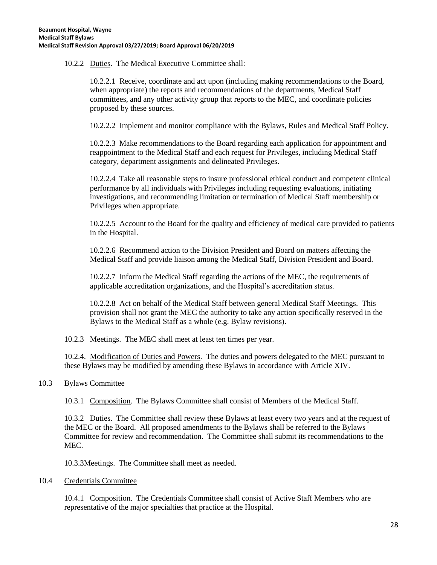10.2.2 Duties. The Medical Executive Committee shall:

10.2.2.1 Receive, coordinate and act upon (including making recommendations to the Board, when appropriate) the reports and recommendations of the departments, Medical Staff committees, and any other activity group that reports to the MEC, and coordinate policies proposed by these sources.

10.2.2.2 Implement and monitor compliance with the Bylaws, Rules and Medical Staff Policy.

10.2.2.3 Make recommendations to the Board regarding each application for appointment and reappointment to the Medical Staff and each request for Privileges, including Medical Staff category, department assignments and delineated Privileges.

10.2.2.4 Take all reasonable steps to insure professional ethical conduct and competent clinical performance by all individuals with Privileges including requesting evaluations, initiating investigations, and recommending limitation or termination of Medical Staff membership or Privileges when appropriate.

10.2.2.5 Account to the Board for the quality and efficiency of medical care provided to patients in the Hospital.

10.2.2.6 Recommend action to the Division President and Board on matters affecting the Medical Staff and provide liaison among the Medical Staff, Division President and Board.

10.2.2.7 Inform the Medical Staff regarding the actions of the MEC, the requirements of applicable accreditation organizations, and the Hospital's accreditation status.

10.2.2.8 Act on behalf of the Medical Staff between general Medical Staff Meetings. This provision shall not grant the MEC the authority to take any action specifically reserved in the Bylaws to the Medical Staff as a whole (e.g. Bylaw revisions).

10.2.3 Meetings. The MEC shall meet at least ten times per year.

10.2.4. Modification of Duties and Powers. The duties and powers delegated to the MEC pursuant to these Bylaws may be modified by amending these Bylaws in accordance with Article XIV.

#### 10.3 Bylaws Committee

10.3.1 Composition. The Bylaws Committee shall consist of Members of the Medical Staff.

10.3.2 Duties. The Committee shall review these Bylaws at least every two years and at the request of the MEC or the Board. All proposed amendments to the Bylaws shall be referred to the Bylaws Committee for review and recommendation. The Committee shall submit its recommendations to the MEC.

10.3.3Meetings. The Committee shall meet as needed.

#### 10.4 Credentials Committee

10.4.1 Composition. The Credentials Committee shall consist of Active Staff Members who are representative of the major specialties that practice at the Hospital.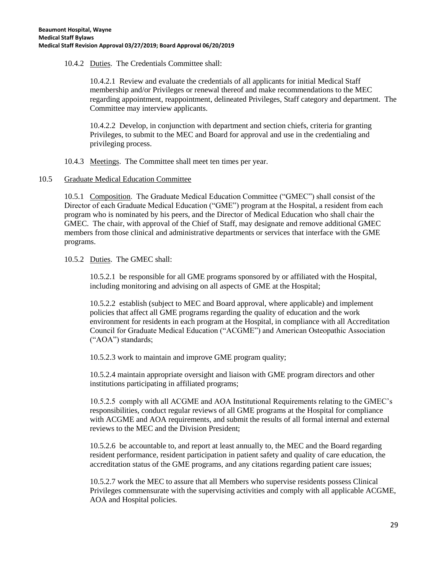10.4.2 Duties. The Credentials Committee shall:

10.4.2.1 Review and evaluate the credentials of all applicants for initial Medical Staff membership and/or Privileges or renewal thereof and make recommendations to the MEC regarding appointment, reappointment, delineated Privileges, Staff category and department. The Committee may interview applicants.

10.4.2.2 Develop, in conjunction with department and section chiefs, criteria for granting Privileges, to submit to the MEC and Board for approval and use in the credentialing and privileging process.

10.4.3 Meetings. The Committee shall meet ten times per year.

## 10.5 Graduate Medical Education Committee

10.5.1 Composition. The Graduate Medical Education Committee ("GMEC") shall consist of the Director of each Graduate Medical Education ("GME") program at the Hospital, a resident from each program who is nominated by his peers, and the Director of Medical Education who shall chair the GMEC. The chair, with approval of the Chief of Staff, may designate and remove additional GMEC members from those clinical and administrative departments or services that interface with the GME programs.

## 10.5.2 Duties. The GMEC shall:

10.5.2.1 be responsible for all GME programs sponsored by or affiliated with the Hospital, including monitoring and advising on all aspects of GME at the Hospital;

10.5.2.2 establish (subject to MEC and Board approval, where applicable) and implement policies that affect all GME programs regarding the quality of education and the work environment for residents in each program at the Hospital, in compliance with all Accreditation Council for Graduate Medical Education ("ACGME") and American Osteopathic Association ("AOA") standards;

10.5.2.3 work to maintain and improve GME program quality;

10.5.2.4 maintain appropriate oversight and liaison with GME program directors and other institutions participating in affiliated programs;

10.5.2.5 comply with all ACGME and AOA Institutional Requirements relating to the GMEC's responsibilities, conduct regular reviews of all GME programs at the Hospital for compliance with ACGME and AOA requirements, and submit the results of all formal internal and external reviews to the MEC and the Division President;

10.5.2.6 be accountable to, and report at least annually to, the MEC and the Board regarding resident performance, resident participation in patient safety and quality of care education, the accreditation status of the GME programs, and any citations regarding patient care issues;

10.5.2.7 work the MEC to assure that all Members who supervise residents possess Clinical Privileges commensurate with the supervising activities and comply with all applicable ACGME, AOA and Hospital policies.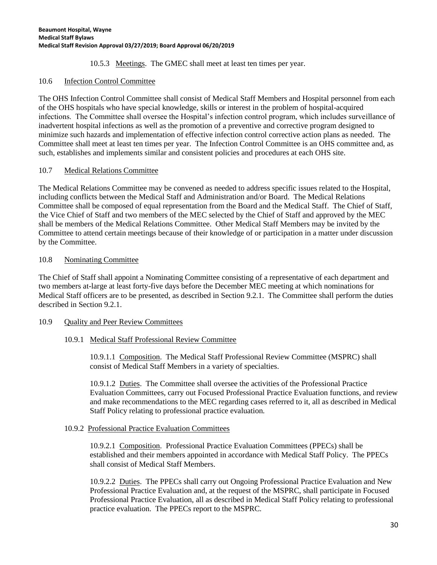## 10.5.3 Meetings. The GMEC shall meet at least ten times per year.

## 10.6 Infection Control Committee

The OHS Infection Control Committee shall consist of Medical Staff Members and Hospital personnel from each of the OHS hospitals who have special knowledge, skills or interest in the problem of hospital-acquired infections. The Committee shall oversee the Hospital's infection control program, which includes surveillance of inadvertent hospital infections as well as the promotion of a preventive and corrective program designed to minimize such hazards and implementation of effective infection control corrective action plans as needed. The Committee shall meet at least ten times per year. The Infection Control Committee is an OHS committee and, as such, establishes and implements similar and consistent policies and procedures at each OHS site.

## 10.7 Medical Relations Committee

The Medical Relations Committee may be convened as needed to address specific issues related to the Hospital, including conflicts between the Medical Staff and Administration and/or Board. The Medical Relations Committee shall be composed of equal representation from the Board and the Medical Staff. The Chief of Staff, the Vice Chief of Staff and two members of the MEC selected by the Chief of Staff and approved by the MEC shall be members of the Medical Relations Committee. Other Medical Staff Members may be invited by the Committee to attend certain meetings because of their knowledge of or participation in a matter under discussion by the Committee.

## 10.8 Nominating Committee

The Chief of Staff shall appoint a Nominating Committee consisting of a representative of each department and two members at-large at least forty-five days before the December MEC meeting at which nominations for Medical Staff officers are to be presented, as described in Section 9.2.1. The Committee shall perform the duties described in Section 9.2.1.

#### 10.9 Quality and Peer Review Committees

#### 10.9.1 Medical Staff Professional Review Committee

10.9.1.1 Composition. The Medical Staff Professional Review Committee (MSPRC) shall consist of Medical Staff Members in a variety of specialties.

10.9.1.2 Duties. The Committee shall oversee the activities of the Professional Practice Evaluation Committees, carry out Focused Professional Practice Evaluation functions, and review and make recommendations to the MEC regarding cases referred to it, all as described in Medical Staff Policy relating to professional practice evaluation.

#### 10.9.2 Professional Practice Evaluation Committees

10.9.2.1 Composition. Professional Practice Evaluation Committees (PPECs) shall be established and their members appointed in accordance with Medical Staff Policy. The PPECs shall consist of Medical Staff Members.

10.9.2.2 Duties. The PPECs shall carry out Ongoing Professional Practice Evaluation and New Professional Practice Evaluation and, at the request of the MSPRC, shall participate in Focused Professional Practice Evaluation, all as described in Medical Staff Policy relating to professional practice evaluation. The PPECs report to the MSPRC.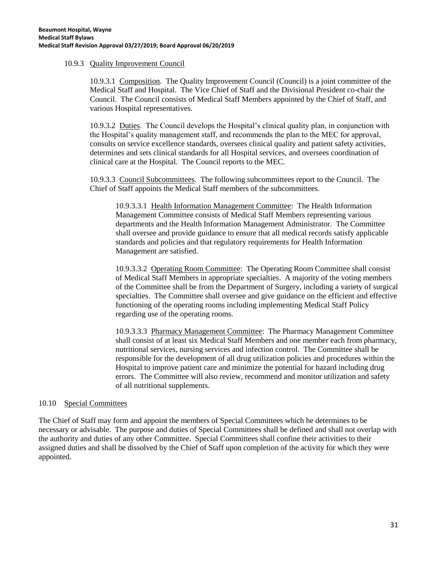### 10.9.3 Quality Improvement Council

10.9.3.1 Composition. The Quality Improvement Council (Council) is a joint committee of the Medical Staff and Hospital. The Vice Chief of Staff and the Divisional President co-chair the Council. The Council consists of Medical Staff Members appointed by the Chief of Staff, and various Hospital representatives.

10.9.3.2 Duties. The Council develops the Hospital's clinical quality plan, in conjunction with the Hospital's quality management staff, and recommends the plan to the MEC for approval, consults on service excellence standards, oversees clinical quality and patient safety activities, determines and sets clinical standards for all Hospital services, and oversees coordination of clinical care at the Hospital. The Council reports to the MEC.

10.9.3.3 Council Subcommittees. The following subcommittees report to the Council. The Chief of Staff appoints the Medical Staff members of the subcommittees.

10.9.3.3.1 Health Information Management Committee: The Health Information Management Committee consists of Medical Staff Members representing various departments and the Health Information Management Administrator. The Committee shall oversee and provide guidance to ensure that all medical records satisfy applicable standards and policies and that regulatory requirements for Health Information Management are satisfied.

10.9.3.3.2 Operating Room Committee: The Operating Room Committee shall consist of Medical Staff Members in appropriate specialties. A majority of the voting members of the Committee shall be from the Department of Surgery, including a variety of surgical specialties. The Committee shall oversee and give guidance on the efficient and effective functioning of the operating rooms including implementing Medical Staff Policy regarding use of the operating rooms.

10.9.3.3.3 Pharmacy Management Committee: The Pharmacy Management Committee shall consist of at least six Medical Staff Members and one member each from pharmacy, nutritional services, nursing services and infection control. The Committee shall be responsible for the development of all drug utilization policies and procedures within the Hospital to improve patient care and minimize the potential for hazard including drug errors. The Committee will also review, recommend and monitor utilization and safety of all nutritional supplements.

#### 10.10 Special Committees

The Chief of Staff may form and appoint the members of Special Committees which he determines to be necessary or advisable. The purpose and duties of Special Committees shall be defined and shall not overlap with the authority and duties of any other Committee. Special Committees shall confine their activities to their assigned duties and shall be dissolved by the Chief of Staff upon completion of the activity for which they were appointed.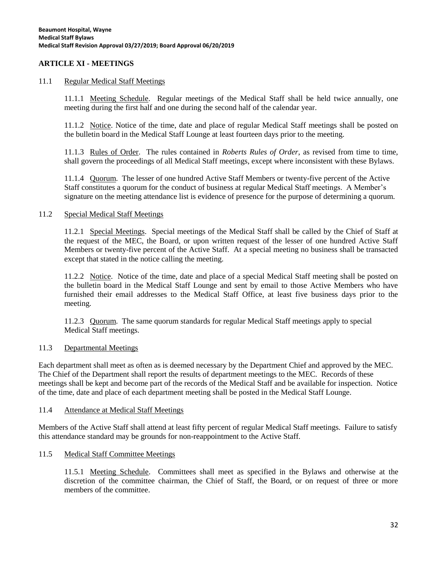# **ARTICLE XI - MEETINGS**

#### 11.1 Regular Medical Staff Meetings

11.1.1 Meeting Schedule. Regular meetings of the Medical Staff shall be held twice annually, one meeting during the first half and one during the second half of the calendar year.

11.1.2 Notice. Notice of the time, date and place of regular Medical Staff meetings shall be posted on the bulletin board in the Medical Staff Lounge at least fourteen days prior to the meeting.

11.1.3 Rules of Order. The rules contained in *Roberts Rules of Order*, as revised from time to time, shall govern the proceedings of all Medical Staff meetings, except where inconsistent with these Bylaws.

11.1.4 Quorum. The lesser of one hundred Active Staff Members or twenty-five percent of the Active Staff constitutes a quorum for the conduct of business at regular Medical Staff meetings. A Member's signature on the meeting attendance list is evidence of presence for the purpose of determining a quorum.

#### 11.2 Special Medical Staff Meetings

11.2.1 Special Meetings. Special meetings of the Medical Staff shall be called by the Chief of Staff at the request of the MEC, the Board, or upon written request of the lesser of one hundred Active Staff Members or twenty-five percent of the Active Staff. At a special meeting no business shall be transacted except that stated in the notice calling the meeting.

11.2.2 Notice. Notice of the time, date and place of a special Medical Staff meeting shall be posted on the bulletin board in the Medical Staff Lounge and sent by email to those Active Members who have furnished their email addresses to the Medical Staff Office, at least five business days prior to the meeting.

11.2.3 Quorum. The same quorum standards for regular Medical Staff meetings apply to special Medical Staff meetings.

#### 11.3 Departmental Meetings

Each department shall meet as often as is deemed necessary by the Department Chief and approved by the MEC. The Chief of the Department shall report the results of department meetings to the MEC. Records of these meetings shall be kept and become part of the records of the Medical Staff and be available for inspection. Notice of the time, date and place of each department meeting shall be posted in the Medical Staff Lounge.

#### 11.4 Attendance at Medical Staff Meetings

Members of the Active Staff shall attend at least fifty percent of regular Medical Staff meetings. Failure to satisfy this attendance standard may be grounds for non-reappointment to the Active Staff.

#### 11.5 Medical Staff Committee Meetings

11.5.1 Meeting Schedule. Committees shall meet as specified in the Bylaws and otherwise at the discretion of the committee chairman, the Chief of Staff, the Board, or on request of three or more members of the committee.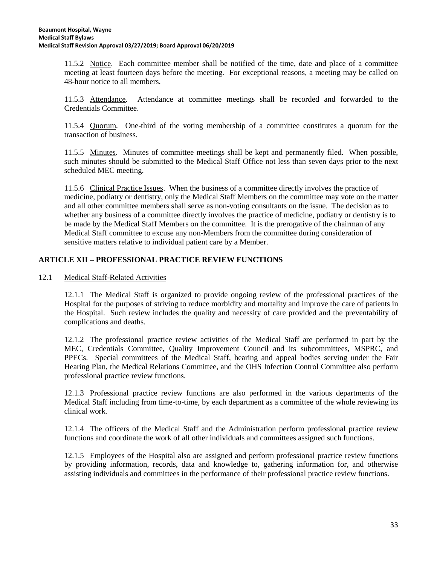11.5.2 Notice. Each committee member shall be notified of the time, date and place of a committee meeting at least fourteen days before the meeting. For exceptional reasons, a meeting may be called on 48-hour notice to all members.

11.5.3 Attendance. Attendance at committee meetings shall be recorded and forwarded to the Credentials Committee.

11.5.4 Quorum. One-third of the voting membership of a committee constitutes a quorum for the transaction of business.

11.5.5 Minutes. Minutes of committee meetings shall be kept and permanently filed. When possible, such minutes should be submitted to the Medical Staff Office not less than seven days prior to the next scheduled MEC meeting.

11.5.6 Clinical Practice Issues. When the business of a committee directly involves the practice of medicine, podiatry or dentistry, only the Medical Staff Members on the committee may vote on the matter and all other committee members shall serve as non-voting consultants on the issue. The decision as to whether any business of a committee directly involves the practice of medicine, podiatry or dentistry is to be made by the Medical Staff Members on the committee. It is the prerogative of the chairman of any Medical Staff committee to excuse any non-Members from the committee during consideration of sensitive matters relative to individual patient care by a Member.

# **ARTICLE XII – PROFESSIONAL PRACTICE REVIEW FUNCTIONS**

12.1 Medical Staff-Related Activities

12.1.1 The Medical Staff is organized to provide ongoing review of the professional practices of the Hospital for the purposes of striving to reduce morbidity and mortality and improve the care of patients in the Hospital. Such review includes the quality and necessity of care provided and the preventability of complications and deaths.

12.1.2 The professional practice review activities of the Medical Staff are performed in part by the MEC, Credentials Committee, Quality Improvement Council and its subcommittees, MSPRC, and PPECs. Special committees of the Medical Staff, hearing and appeal bodies serving under the Fair Hearing Plan, the Medical Relations Committee, and the OHS Infection Control Committee also perform professional practice review functions.

12.1.3 Professional practice review functions are also performed in the various departments of the Medical Staff including from time-to-time, by each department as a committee of the whole reviewing its clinical work.

12.1.4 The officers of the Medical Staff and the Administration perform professional practice review functions and coordinate the work of all other individuals and committees assigned such functions.

12.1.5 Employees of the Hospital also are assigned and perform professional practice review functions by providing information, records, data and knowledge to, gathering information for, and otherwise assisting individuals and committees in the performance of their professional practice review functions.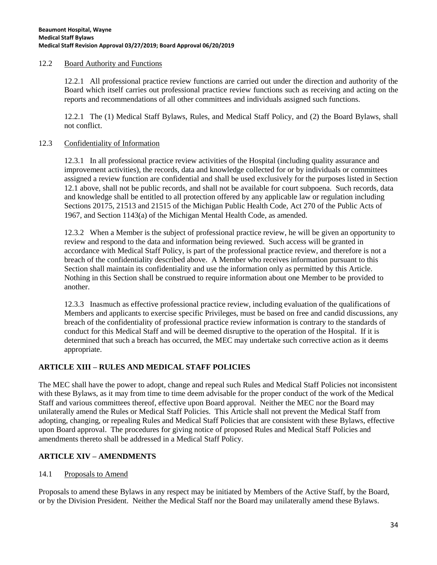#### 12.2 Board Authority and Functions

12.2.1 All professional practice review functions are carried out under the direction and authority of the Board which itself carries out professional practice review functions such as receiving and acting on the reports and recommendations of all other committees and individuals assigned such functions.

12.2.1 The (1) Medical Staff Bylaws, Rules, and Medical Staff Policy, and (2) the Board Bylaws, shall not conflict.

#### 12.3 Confidentiality of Information

12.3.1 In all professional practice review activities of the Hospital (including quality assurance and improvement activities), the records, data and knowledge collected for or by individuals or committees assigned a review function are confidential and shall be used exclusively for the purposes listed in Section 12.1 above, shall not be public records, and shall not be available for court subpoena. Such records, data and knowledge shall be entitled to all protection offered by any applicable law or regulation including Sections 20175, 21513 and 21515 of the Michigan Public Health Code, Act 270 of the Public Acts of 1967, and Section 1143(a) of the Michigan Mental Health Code, as amended.

12.3.2 When a Member is the subject of professional practice review, he will be given an opportunity to review and respond to the data and information being reviewed. Such access will be granted in accordance with Medical Staff Policy, is part of the professional practice review, and therefore is not a breach of the confidentiality described above. A Member who receives information pursuant to this Section shall maintain its confidentiality and use the information only as permitted by this Article. Nothing in this Section shall be construed to require information about one Member to be provided to another.

12.3.3 Inasmuch as effective professional practice review, including evaluation of the qualifications of Members and applicants to exercise specific Privileges, must be based on free and candid discussions, any breach of the confidentiality of professional practice review information is contrary to the standards of conduct for this Medical Staff and will be deemed disruptive to the operation of the Hospital. If it is determined that such a breach has occurred, the MEC may undertake such corrective action as it deems appropriate.

# **ARTICLE XIII – RULES AND MEDICAL STAFF POLICIES**

The MEC shall have the power to adopt, change and repeal such Rules and Medical Staff Policies not inconsistent with these Bylaws, as it may from time to time deem advisable for the proper conduct of the work of the Medical Staff and various committees thereof, effective upon Board approval. Neither the MEC nor the Board may unilaterally amend the Rules or Medical Staff Policies. This Article shall not prevent the Medical Staff from adopting, changing, or repealing Rules and Medical Staff Policies that are consistent with these Bylaws, effective upon Board approval. The procedures for giving notice of proposed Rules and Medical Staff Policies and amendments thereto shall be addressed in a Medical Staff Policy.

# **ARTICLE XIV – AMENDMENTS**

#### 14.1 Proposals to Amend

Proposals to amend these Bylaws in any respect may be initiated by Members of the Active Staff, by the Board, or by the Division President. Neither the Medical Staff nor the Board may unilaterally amend these Bylaws.